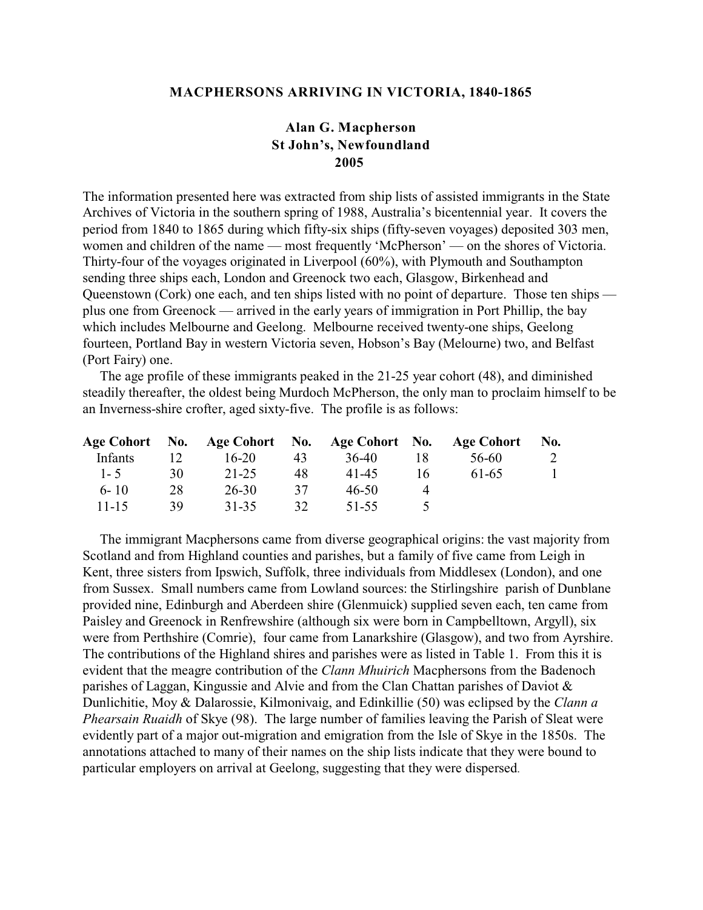### **MACPHERSONS ARRIVING IN VICTORIA, 1840-1865**

# **Alan G. Macpherson St John's, Newfoundland 2005**

The information presented here was extracted from ship lists of assisted immigrants in the State Archives of Victoria in the southern spring of 1988, Australia's bicentennial year. It covers the period from 1840 to 1865 during which fifty-six ships (fifty-seven voyages) deposited 303 men, women and children of the name — most frequently 'McPherson' — on the shores of Victoria. Thirty-four of the voyages originated in Liverpool (60%), with Plymouth and Southampton sending three ships each, London and Greenock two each, Glasgow, Birkenhead and Queenstown (Cork) one each, and ten ships listed with no point of departure. Those ten ships plus one from Greenock — arrived in the early years of immigration in Port Phillip, the bay which includes Melbourne and Geelong. Melbourne received twenty-one ships, Geelong fourteen, Portland Bay in western Victoria seven, Hobson's Bay (Melourne) two, and Belfast (Port Fairy) one.

 The age profile of these immigrants peaked in the 21-25 year cohort (48), and diminished steadily thereafter, the oldest being Murdoch McPherson, the only man to proclaim himself to be an Inverness-shire crofter, aged sixty-five. The profile is as follows:

|           |    | Age Cohort No. Age Cohort No. Age Cohort No. Age Cohort |    |       |     |       | No. |
|-----------|----|---------------------------------------------------------|----|-------|-----|-------|-----|
| Infants   |    | $16 - 20$                                               | 43 | 36-40 | 18  | 56-60 |     |
| $1 - 5$   | 30 | 21-25                                                   | 48 | 41-45 | 16. | 61-65 |     |
| $6 - 10$  | 28 | 26-30                                                   | 37 | 46-50 |     |       |     |
| $11 - 15$ | 39 | 31-35                                                   | 32 | 51-55 |     |       |     |

 The immigrant Macphersons came from diverse geographical origins: the vast majority from Scotland and from Highland counties and parishes, but a family of five came from Leigh in Kent, three sisters from Ipswich, Suffolk, three individuals from Middlesex (London), and one from Sussex. Small numbers came from Lowland sources: the Stirlingshire parish of Dunblane provided nine, Edinburgh and Aberdeen shire (Glenmuick) supplied seven each, ten came from Paisley and Greenock in Renfrewshire (although six were born in Campbelltown, Argyll), six were from Perthshire (Comrie), four came from Lanarkshire (Glasgow), and two from Ayrshire. The contributions of the Highland shires and parishes were as listed in Table 1. From this it is evident that the meagre contribution of the *Clann Mhuirich* Macphersons from the Badenoch parishes of Laggan, Kingussie and Alvie and from the Clan Chattan parishes of Daviot & Dunlichitie, Moy & Dalarossie, Kilmonivaig, and Edinkillie (50) was eclipsed by the *Clann a Phearsain Ruaidh* of Skye (98). The large number of families leaving the Parish of Sleat were evidently part of a major out-migration and emigration from the Isle of Skye in the 1850s. The annotations attached to many of their names on the ship lists indicate that they were bound to particular employers on arrival at Geelong, suggesting that they were dispersed.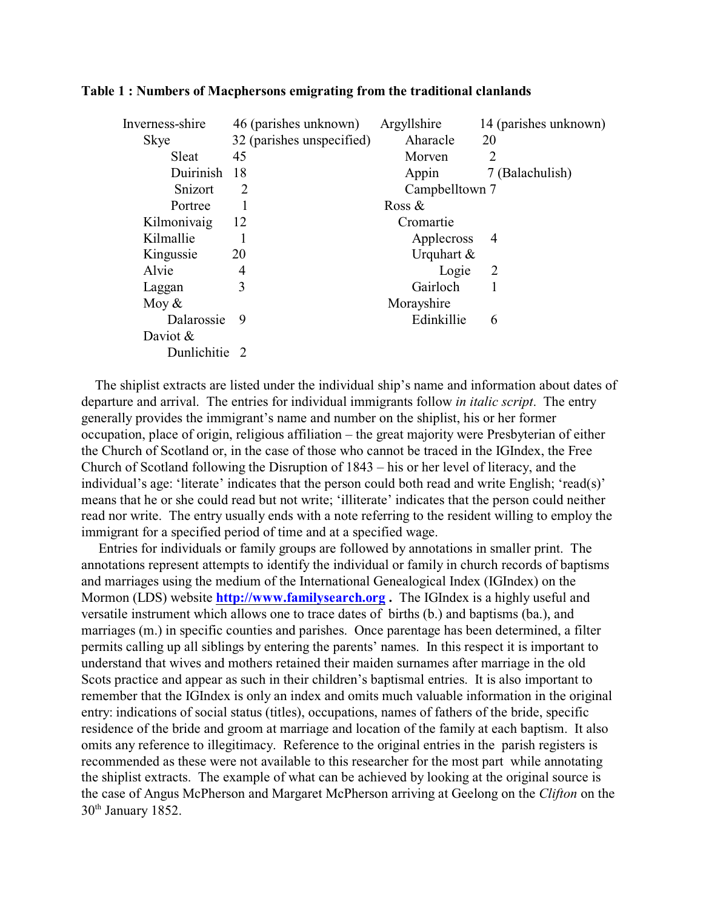| Inverness-shire | 46 (parishes unknown)     | Argyllshire    | 14 (parishes unknown) |
|-----------------|---------------------------|----------------|-----------------------|
| <b>Skye</b>     | 32 (parishes unspecified) | Aharacle       | 20                    |
| Sleat           | 45                        | Morven         | $\overline{2}$        |
| Duirinish       | 18                        | Appin          | 7 (Balachulish)       |
| Snizort         | $\overline{2}$            | Campbelltown 7 |                       |
| Portree         |                           | Ross $\&$      |                       |
| Kilmonivaig     | 12                        | Cromartie      |                       |
| Kilmallie       |                           | Applecross     | $\overline{4}$        |
| Kingussie       | 20                        | Urquhart $\&$  |                       |
| Alvie           | 4                         | Logie          | $\overline{2}$        |
| Laggan          | 3                         | Gairloch       |                       |
| Moy $&$         |                           | Morayshire     |                       |
| Dalarossie      | 9                         | Edinkillie     | 6                     |
| Daviot $&$      |                           |                |                       |
| Dunlichitie 2   |                           |                |                       |

### **Table 1 : Numbers of Macphersons emigrating from the traditional clanlands**

 The shiplist extracts are listed under the individual ship's name and information about dates of departure and arrival. The entries for individual immigrants follow *in italic script*. The entry generally provides the immigrant's name and number on the shiplist, his or her former occupation, place of origin, religious affiliation – the great majority were Presbyterian of either the Church of Scotland or, in the case of those who cannot be traced in the IGIndex, the Free Church of Scotland following the Disruption of 1843 – his or her level of literacy, and the individual's age: 'literate' indicates that the person could both read and write English; 'read(s)' means that he or she could read but not write; 'illiterate' indicates that the person could neither read nor write. The entry usually ends with a note referring to the resident willing to employ the immigrant for a specified period of time and at a specified wage.

 Entries for individuals or family groups are followed by annotations in smaller print. The annotations represent attempts to identify the individual or family in church records of baptisms and marriages using the medium of the International Genealogical Index (IGIndex) on the Mormon (LDS) website **<http://www.familysearch.org> .** The IGIndex is a highly useful and versatile instrument which allows one to trace dates of births (b.) and baptisms (ba.), and marriages (m.) in specific counties and parishes. Once parentage has been determined, a filter permits calling up all siblings by entering the parents' names. In this respect it is important to understand that wives and mothers retained their maiden surnames after marriage in the old Scots practice and appear as such in their children's baptismal entries. It is also important to remember that the IGIndex is only an index and omits much valuable information in the original entry: indications of social status (titles), occupations, names of fathers of the bride, specific residence of the bride and groom at marriage and location of the family at each baptism. It also omits any reference to illegitimacy. Reference to the original entries in the parish registers is recommended as these were not available to this researcher for the most part while annotating the shiplist extracts. The example of what can be achieved by looking at the original source is the case of Angus McPherson and Margaret McPherson arriving at Geelong on the *Clifton* on the  $30<sup>th</sup>$  January 1852.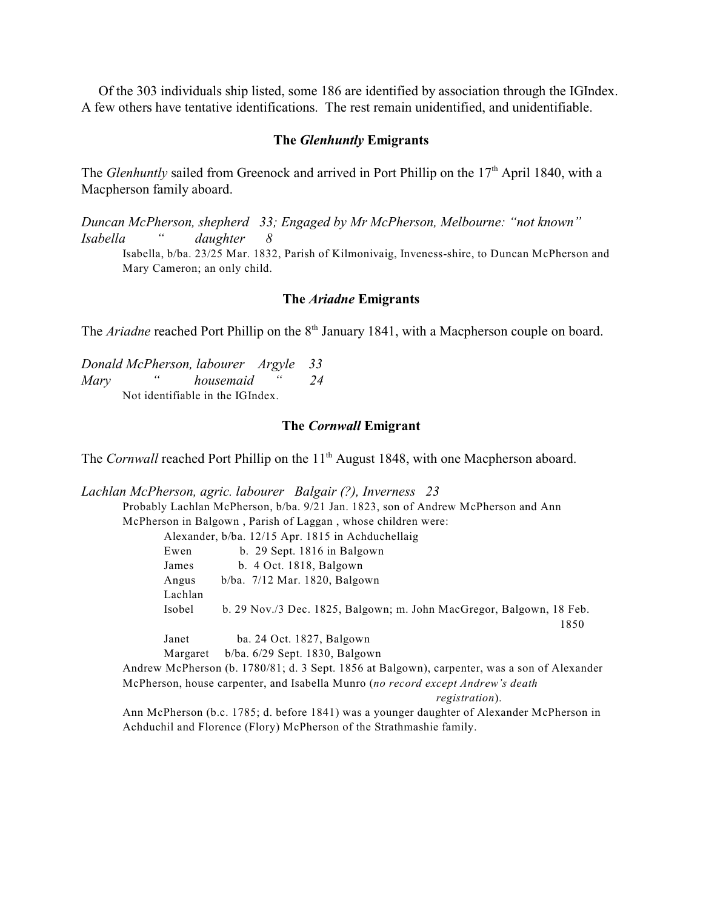Of the 303 individuals ship listed, some 186 are identified by association through the IGIndex. A few others have tentative identifications. The rest remain unidentified, and unidentifiable.

### **The** *Glenhuntly* **Emigrants**

The *Glenhuntly* sailed from Greenock and arrived in Port Phillip on the 17<sup>th</sup> April 1840, with a Macpherson family aboard.

*Duncan McPherson, shepherd 33; Engaged by Mr McPherson, Melbourne: "not known" Isabella " daughter 8* Isabella, b/ba. 23/25 Mar. 1832, Parish of Kilmonivaig, Inveness-shire, to Duncan McPherson and Mary Cameron; an only child.

### **The** *Ariadne* **Emigrants**

The *Ariadne* reached Port Phillip on the 8<sup>th</sup> January 1841, with a Macpherson couple on board.

*Donald McPherson, labourer Argyle 33 Mary " housemaid " 24* Not identifiable in the IGIndex.

### **The** *Cornwall* **Emigrant**

The *Cornwall* reached Port Phillip on the 11<sup>th</sup> August 1848, with one Macpherson aboard.

*Lachlan McPherson, agric. labourer Balgair (?), Inverness 23* Probably Lachlan McPherson, b/ba. 9/21 Jan. 1823, son of Andrew McPherson and Ann McPherson in Balgown , Parish of Laggan , whose children were:

Alexander, b/ba. 12/15 Apr. 1815 in Achduchellaig

| Ewen     | b. 29 Sept. $1816$ in Balgown                                          |      |
|----------|------------------------------------------------------------------------|------|
| James    | b. $4$ Oct. 1818, Balgown                                              |      |
| Angus    | $b/ba$ . 7/12 Mar. 1820, Balgown                                       |      |
| Lachlan  |                                                                        |      |
| Isobel   | b. $29$ Nov./3 Dec. 1825, Balgown; m. John MacGregor, Balgown, 18 Feb. |      |
|          |                                                                        | 1850 |
| Janet    | ba. 24 Oct. 1827, Balgown                                              |      |
| Margaret | $b/ba. 6/29$ Sept. 1830, Balgown                                       |      |
|          |                                                                        |      |

Andrew McPherson (b. 1780/81; d. 3 Sept. 1856 at Balgown), carpenter, was a son of Alexander McPherson, house carpenter, and Isabella Munro (*no record except Andrew's death registration*).

Ann McPherson (b.c. 1785; d. before 1841) was a younger daughter of Alexander McPherson in Achduchil and Florence (Flory) McPherson of the Strathmashie family.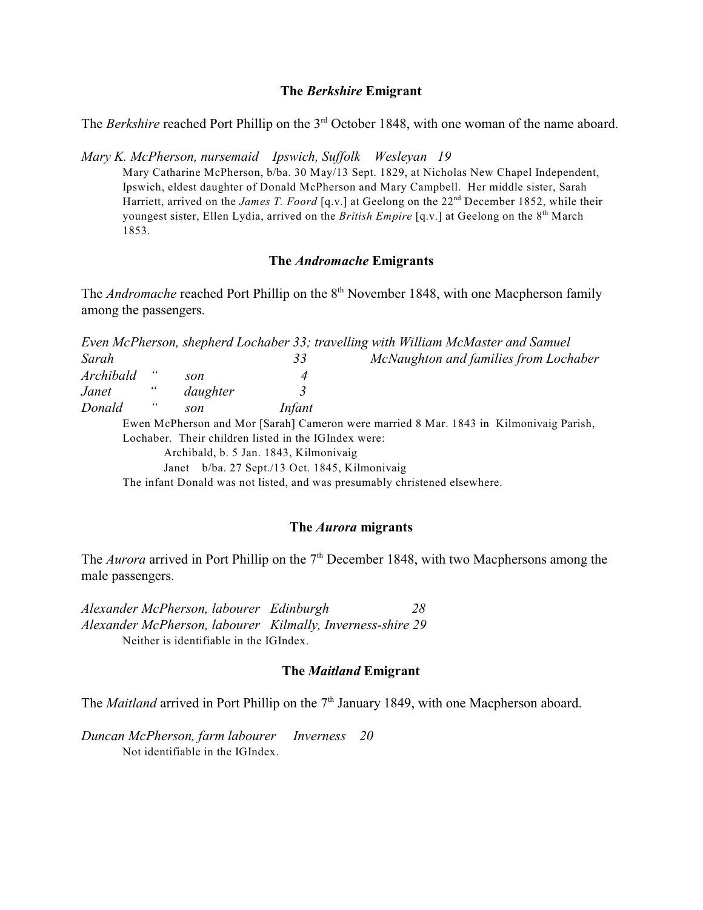### **The** *Berkshire* **Emigrant**

The *Berkshire* reached Port Phillip on the 3<sup>rd</sup> October 1848, with one woman of the name aboard.

*Mary K. McPherson, nursemaid Ipswich, Suffolk Wesleyan 19*

Mary Catharine McPherson, b/ba. 30 May/13 Sept. 1829, at Nicholas New Chapel Independent, Ipswich, eldest daughter of Donald McPherson and Mary Campbell. Her middle sister, Sarah Harriett, arrived on the *James T. Foord* [q.v.] at Geelong on the 22<sup>nd</sup> December 1852, while their youngest sister, Ellen Lydia, arrived on the *British Empire* [q.v.] at Geelong on the 8<sup>th</sup> March 1853.

## **The** *Andromache* **Emigrants**

The *Andromache* reached Port Phillip on the 8<sup>th</sup> November 1848, with one Macpherson family among the passengers.

*Even McPherson, shepherd Lochaber 33; travelling with William McMaster and Samuel Sarah 33 McNaughton and families from Lochaber Archibald " son 4 Janet " daughter 3 Donald " son Infant* Ewen McPherson and Mor [Sarah] Cameron were married 8 Mar. 1843 in Kilmonivaig Parish, Lochaber. Their children listed in the IGIndex were: Archibald, b. 5 Jan. 1843, Kilmonivaig Janet b/ba. 27 Sept./13 Oct. 1845, Kilmonivaig The infant Donald was not listed, and was presumably christened elsewhere.

### **The** *Aurora* **migrants**

The *Aurora* arrived in Port Phillip on the  $7<sup>th</sup>$  December 1848, with two Macphersons among the male passengers.

*Alexander McPherson, labourer Edinburgh 28 Alexander McPherson, labourer Kilmally, Inverness-shire 29* Neither is identifiable in the IGIndex.

## **The** *Maitland* **Emigrant**

The *Maitland* arrived in Port Phillip on the 7<sup>th</sup> January 1849, with one Macpherson aboard.

*Duncan McPherson, farm labourer Inverness 20* Not identifiable in the IGIndex.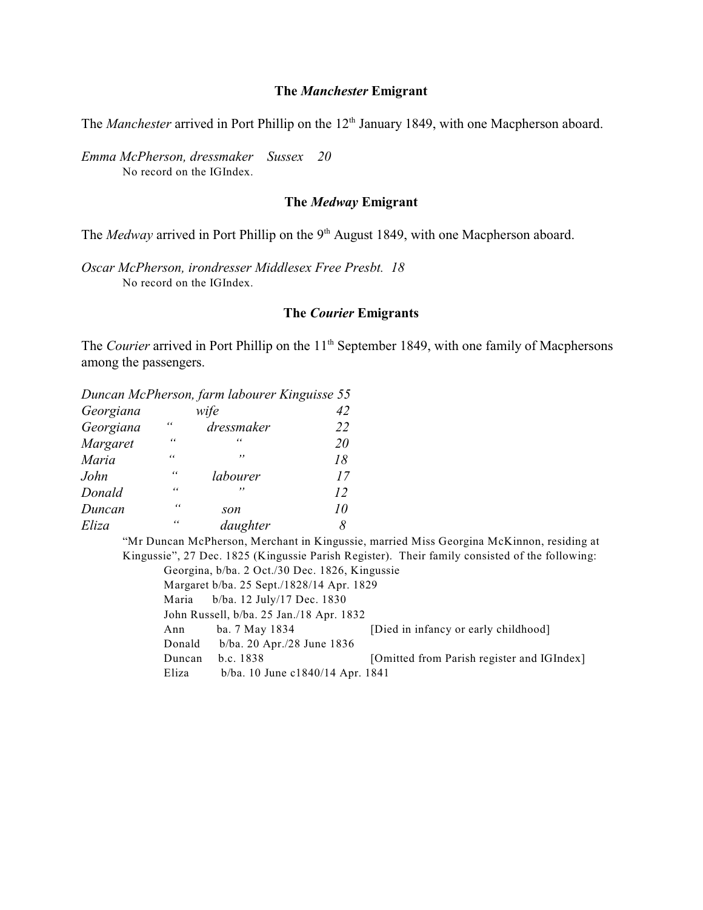### **The** *Manchester* **Emigrant**

The *Manchester* arrived in Port Phillip on the 12<sup>th</sup> January 1849, with one Macpherson aboard.

*Emma McPherson, dressmaker Sussex 20* No record on the IGIndex.

## **The** *Medway* **Emigrant**

The *Medway* arrived in Port Phillip on the 9<sup>th</sup> August 1849, with one Macpherson aboard.

*Oscar McPherson, irondresser Middlesex Free Presbt. 18* No record on the IGIndex.

### **The** *Courier* **Emigrants**

The *Courier* arrived in Port Phillip on the 11<sup>th</sup> September 1849, with one family of Macphersons among the passengers.

|           |            | Duncan McPherson, farm labourer Kinguisse 55 |    |
|-----------|------------|----------------------------------------------|----|
| Georgiana |            | wife                                         | 42 |
| Georgiana | 66         | dressmaker                                   | 22 |
| Margaret  | $\epsilon$ | "                                            | 20 |
| Maria     | $\epsilon$ | ,,                                           | 18 |
| John      | $\epsilon$ | labourer                                     | 17 |
| Donald    | $\epsilon$ | ,,                                           | 12 |
| Duncan    | $\epsilon$ | son                                          | 10 |
| Eliza     | 66         | daughter                                     | 8  |

"Mr Duncan McPherson, Merchant in Kingussie, married Miss Georgina McKinnon, residing at Kingussie", 27 Dec. 1825 (Kingussie Parish Register). Their family consisted of the following: Georgina, b/ba. 2 Oct./30 Dec. 1826, Kingussie Margaret b/ba. 25 Sept./1828/14 Apr. 1829 Maria b/ba. 12 July/17 Dec. 1830 John Russell, b/ba. 25 Jan./18 Apr. 1832 Ann ba. 7 May 1834 [Died in infancy or early childhood] Donald b/ba. 20 Apr./28 June 1836 Duncan b.c. 1838 [Omitted from Parish register and IGIndex] Eliza b/ba. 10 June c1840/14 Apr. 1841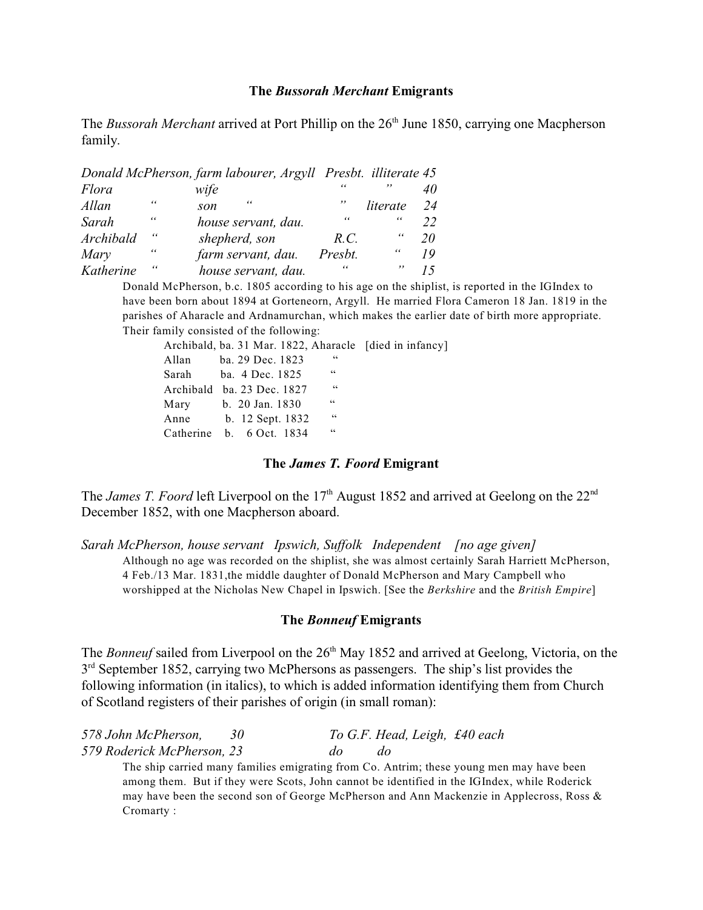### **The** *Bussorah Merchant* **Emigrants**

The *Bussorah Merchant* arrived at Port Phillip on the 26<sup>th</sup> June 1850, carrying one Macpherson family.

|           |    | Donald McPherson, farm labourer, Argyll Presbt. illiterate 45 |         |            |    |
|-----------|----|---------------------------------------------------------------|---------|------------|----|
| Flora     |    | wife                                                          |         | ,,         |    |
| Allan     | "  | "<br>son                                                      | ,,      | literate   | 24 |
| Sarah     | 66 | house servant, dau.                                           | 66      | 66         | 22 |
| Archibald | 66 | shepherd, son                                                 | R.C.    | 66         | 20 |
| Mary      | "  | farm servant, dau.                                            | Presbt. | $\epsilon$ | 19 |
| Katherine |    | house servant, dau.                                           | "       | ,,         |    |

Donald McPherson, b.c. 1805 according to his age on the shiplist, is reported in the IGIndex to have been born about 1894 at Gorteneorn, Argyll. He married Flora Cameron 18 Jan. 1819 in the parishes of Aharacle and Ardnamurchan, which makes the earlier date of birth more appropriate. Their family consisted of the following:

|       | Archibald, ba. 31 Mar. 1822, Aharacle [died in infancy] |    |  |
|-------|---------------------------------------------------------|----|--|
| Allan | ba. 29 Dec. 1823                                        | 66 |  |
|       | Sarah ba. 4 Dec. 1825                                   | 66 |  |
|       | Archibald ba. 23 Dec. 1827                              | 66 |  |
| Mary  | b. 20 Jan. 1830                                         | 66 |  |
| Anne  | b. 12 Sept. 1832                                        | 66 |  |
|       | Catherine b. 6 Oct. 1834                                | 66 |  |
|       |                                                         |    |  |

## **The** *James T. Foord* **Emigrant**

The *James T. Foord* left Liverpool on the 17<sup>th</sup> August 1852 and arrived at Geelong on the 22<sup>nd</sup> December 1852, with one Macpherson aboard.

*Sarah McPherson, house servant Ipswich, Suffolk Independent [no age given]* Although no age was recorded on the shiplist, she was almost certainly Sarah Harriett McPherson, 4 Feb./13 Mar. 1831,the middle daughter of Donald McPherson and Mary Campbell who worshipped at the Nicholas New Chapel in Ipswich. [See the *Berkshire* and the *British Empire*]

### **The** *Bonneuf* **Emigrants**

The *Bonneuf* sailed from Liverpool on the 26<sup>th</sup> May 1852 and arrived at Geelong, Victoria, on the  $3<sup>rd</sup>$  September 1852, carrying two McPhersons as passengers. The ship's list provides the following information (in italics), to which is added information identifying them from Church of Scotland registers of their parishes of origin (in small roman):

| 578 John McPherson,        |           | To G.F. Head, Leigh, £40 each |  |
|----------------------------|-----------|-------------------------------|--|
| 579 Roderick McPherson, 23 | $d\sigma$ |                               |  |

The ship carried many families emigrating from Co. Antrim; these young men may have been among them. But if they were Scots, John cannot be identified in the IGIndex, while Roderick may have been the second son of George McPherson and Ann Mackenzie in Applecross, Ross & Cromarty :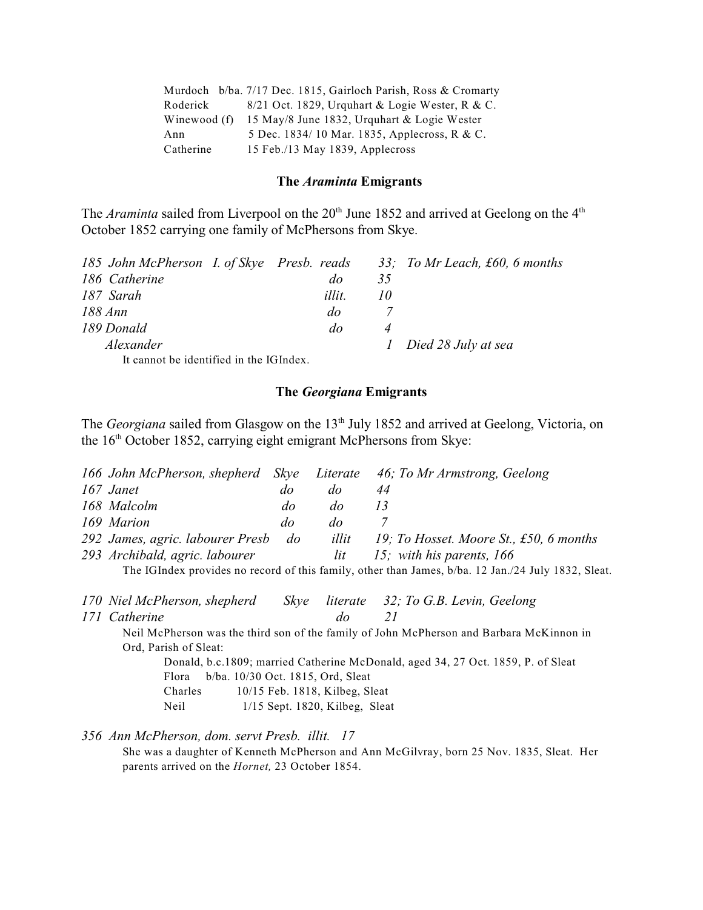|              | Murdoch b/ba. 7/17 Dec. 1815, Gairloch Parish, Ross & Cromarty |
|--------------|----------------------------------------------------------------|
| Roderick     | $8/21$ Oct. 1829, Urguhart & Logie Wester, R & C.              |
| Winewood (f) | 15 May/8 June 1832, Urquhart & Logie Wester                    |
| Ann          | 5 Dec. 1834/10 Mar. 1835, Applecross, R & C.                   |
| Catherine    | 15 Feb./13 May 1839, Applecross                                |

#### **The** *Araminta* **Emigrants**

The *Araminta* sailed from Liverpool on the 20<sup>th</sup> June 1852 and arrived at Geelong on the 4<sup>th</sup> October 1852 carrying one family of McPhersons from Skye.

| 185 John McPherson I. of Skye Presb. reads |           |           | 33; To Mr Leach, £60, 6 months |
|--------------------------------------------|-----------|-----------|--------------------------------|
| 186 Catherine                              | do        | 35        |                                |
| 187 Sarah                                  | illit.    | $10^{-1}$ |                                |
| 188 Ann                                    | $d\sigma$ |           |                                |
| 189 Donald                                 | do        |           |                                |
| Alexander                                  |           |           | 1 Died 28 July at sea          |
| It connot he identified in the $IC$ Index  |           |           |                                |

It cannot be identified in the IGIndex.

# **The** *Georgiana* **Emigrants**

The *Georgiana* sailed from Glasgow on the 13<sup>th</sup> July 1852 and arrived at Geelong, Victoria, on the  $16<sup>th</sup>$  October 1852, carrying eight emigrant McPhersons from Skye:

|                                     |           |     | 166 John McPherson, shepherd Skye Literate 46; To Mr Armstrong, Geelong |
|-------------------------------------|-----------|-----|-------------------------------------------------------------------------|
| 167 Janet                           | do        | do  |                                                                         |
| 168 Malcolm                         | $d\sigma$ | do  |                                                                         |
| 169 Marion                          | do        | do  |                                                                         |
| 292 James, agric. labourer Presb do |           |     | <i>illit</i> 19; To Hosset. Moore St., £50, 6 months                    |
| 293 Archibald, agric. labourer      |           | lit | 15; with his parents, $166$                                             |
|                                     |           |     |                                                                         |

The IGIndex provides no record of this family, other than James, b/ba. 12 Jan./24 July 1832, Sleat.

| 170 Niel McPherson, shepherd |  | Skye literate 32; To G.B. Levin, Geelong |
|------------------------------|--|------------------------------------------|
| 171 Catherine                |  |                                          |

Neil McPherson was the third son of the family of John McPherson and Barbara McKinnon in Ord, Parish of Sleat:

Donald, b.c.1809; married Catherine McDonald, aged 34, 27 Oct. 1859, P. of Sleat Flora b/ba. 10/30 Oct. 1815, Ord, Sleat Charles 10/15 Feb. 1818, Kilbeg, Sleat Neil 1/15 Sept. 1820, Kilbeg, Sleat

*356 Ann McPherson, dom. servt Presb. illit. 17*

She was a daughter of Kenneth McPherson and Ann McGilvray, born 25 Nov. 1835, Sleat. Her parents arrived on the *Hornet,* 23 October 1854.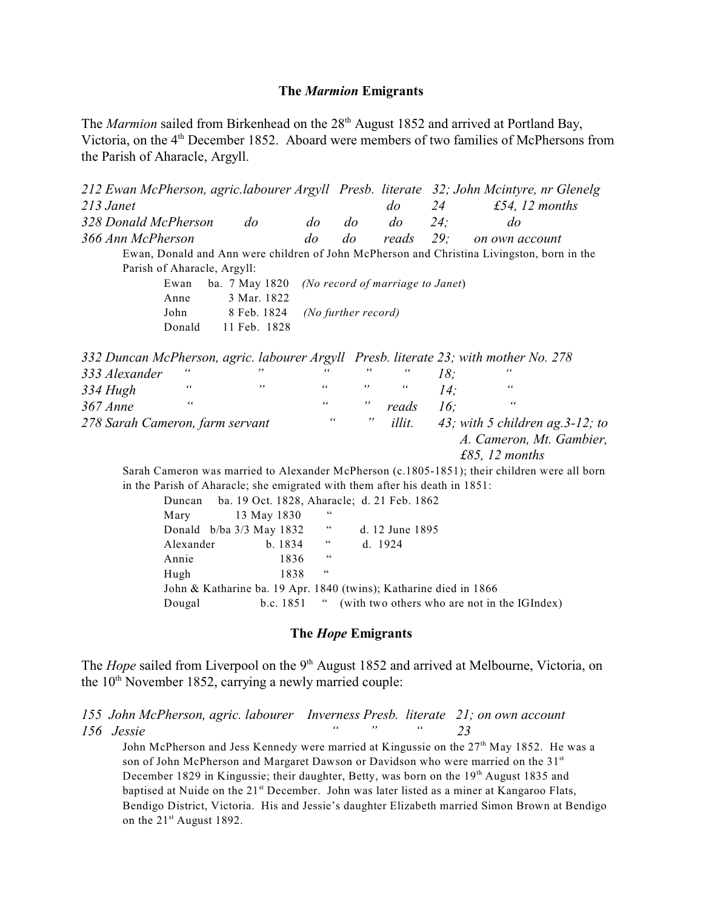### **The** *Marmion* **Emigrants**

The *Marmion* sailed from Birkenhead on the 28<sup>th</sup> August 1852 and arrived at Portland Bay, Victoria, on the 4<sup>th</sup> December 1852. Aboard were members of two families of McPhersons from the Parish of Aharacle, Argyll.

|                                 |                             |                |                |                     |                                  |     | 212 Ewan McPherson, agric.labourer Argyll Presb. literate 32; John Mcintyre, nr Glenelg      |
|---------------------------------|-----------------------------|----------------|----------------|---------------------|----------------------------------|-----|----------------------------------------------------------------------------------------------|
| 213 Janet                       |                             |                |                |                     | do                               | 24  | £54, 12 months                                                                               |
| 328 Donald McPherson            |                             | $d\sigma$      | $\overline{d}$ | do                  | $d\sigma$                        | 24: | do                                                                                           |
| 366 Ann McPherson               |                             |                | $\overline{d}$ | $\overline{d}$      | reads                            | 29: | on own account                                                                               |
|                                 |                             |                |                |                     |                                  |     | Ewan, Donald and Ann were children of John McPherson and Christina Livingston, born in the   |
|                                 | Parish of Aharacle, Argyll: |                |                |                     |                                  |     |                                                                                              |
|                                 | Ewan                        | ba. 7 May 1820 |                |                     | (No record of marriage to Janet) |     |                                                                                              |
|                                 | Anne                        | 3 Mar. 1822    |                |                     |                                  |     |                                                                                              |
|                                 | John                        | 8 Feb. 1824    |                | (No further record) |                                  |     |                                                                                              |
|                                 | Donald                      | 11 Feb. 1828   |                |                     |                                  |     |                                                                                              |
|                                 |                             |                |                |                     |                                  |     | 332 Duncan McPherson, agric. labourer Argyll Presb. literate 23; with mother No. 278         |
| 333 Alexander                   | "                           |                | "              | ,,                  | "                                | 18: |                                                                                              |
| 334 Hugh                        | $\epsilon$                  | $, \,$         | 66             | ,,                  | 66                               | 14: | 66                                                                                           |
| 367 Anne                        | 66                          |                | 66             | ,,                  | reads                            | 16: | $\epsilon$                                                                                   |
| 278 Sarah Cameron, farm servant |                             |                | 66             | ,,                  | <i>illit.</i>                    |     | 43; with 5 children ag. $3-12$ ; to                                                          |
|                                 |                             |                |                |                     |                                  |     | A. Cameron, Mt. Gambier,                                                                     |
|                                 |                             |                |                |                     |                                  |     | £85, 12 months                                                                               |
|                                 |                             |                |                |                     |                                  |     | Sarah Cameron was married to Alexander McPherson (c.1805-1851); their children were all born |
|                                 |                             |                |                |                     |                                  |     |                                                                                              |

in the Parish of Aharacle; she emigrated with them after his death in 1851: Duncan ba. 19 Oct. 1828, Aharacle; d. 21 Feb. 1862

|           |                            |        |                    | Duncan ba. 19 Oct. 1020, Analacio, u. 21 Feb. 1002                |
|-----------|----------------------------|--------|--------------------|-------------------------------------------------------------------|
| Mary      | 13 May 1830                |        | 66                 |                                                                   |
|           | Donald $b/ba$ 3/3 May 1832 |        | 66                 | d. 12 June 1895                                                   |
| Alexander |                            | b.1834 | $\epsilon\epsilon$ | d. $1924$                                                         |
| Annie     |                            | 1836   | 66                 |                                                                   |
| Hugh      |                            | 1838   | 66                 |                                                                   |
|           |                            |        |                    | John & Katharine ba. 19 Apr. 1840 (twins); Katharine died in 1866 |
| Dougal    |                            |        |                    | b.c. 1851 " (with two others who are not in the IGIndex)          |
|           |                            |        |                    |                                                                   |

## **The** *Hope* **Emigrants**

The *Hope* sailed from Liverpool on the 9<sup>th</sup> August 1852 and arrived at Melbourne, Victoria, on the 10<sup>th</sup> November 1852, carrying a newly married couple:

*155 John McPherson, agric. labourer Inverness Presb. literate 21; on own account 156 Jessie " " " 23*

John McPherson and Jess Kennedy were married at Kingussie on the 27<sup>th</sup> May 1852. He was a son of John McPherson and Margaret Dawson or Davidson who were married on the 31<sup>st</sup> December 1829 in Kingussie; their daughter, Betty, was born on the  $19<sup>th</sup>$  August 1835 and baptised at Nuide on the 21<sup>st</sup> December. John was later listed as a miner at Kangaroo Flats, Bendigo District, Victoria. His and Jessie's daughter Elizabeth married Simon Brown at Bendigo on the  $21<sup>st</sup>$  August 1892.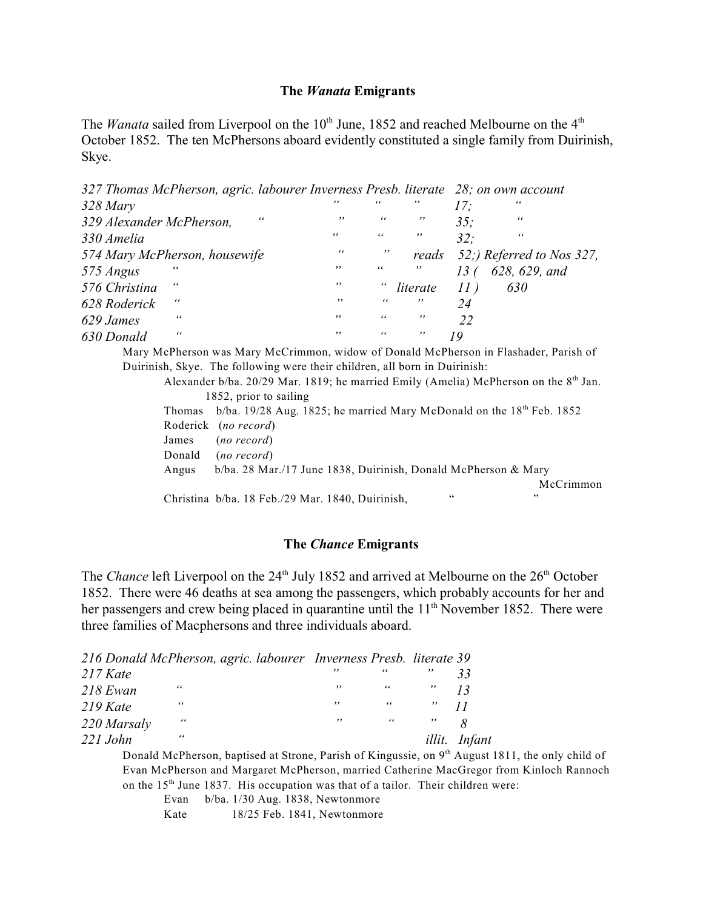### **The** *Wanata* **Emigrants**

The *Wanata* sailed from Liverpool on the 10<sup>th</sup> June, 1852 and reached Melbourne on the 4<sup>th</sup> October 1852. The ten McPhersons aboard evidently constituted a single family from Duirinish, Skye.

*327 Thomas McPherson, agric. labourer Inverness Presb. literate 28; on own account*

|                               | $, \, \,$ | 66         | , , | 17:      | 66                        |
|-------------------------------|-----------|------------|-----|----------|---------------------------|
| 66                            | , ,       | 66         | ,,  | 35:      | 66                        |
|                               | , ,       | 66         | , , | 32:      | 66                        |
| 574 Mary McPherson, housewife | 66        | ,,         |     |          | 52;) Referred to Nos 327, |
|                               | $, \,$    | 66         | , , |          | 628, 629, and             |
|                               | $, \,$    | $\epsilon$ |     | $II$ )   | 630                       |
|                               | , ,       | 66         | ,,  | 24       |                           |
|                               | $, \,$    | 66         | , , | 22       |                           |
|                               | , ,       | 66         | , , | 10       |                           |
|                               |           |            |     | literate | reads                     |

Mary McPherson was Mary McCrimmon, widow of Donald McPherson in Flashader, Parish of Duirinish, Skye. The following were their children, all born in Duirinish:

Alexander b/ba. 20/29 Mar. 1819; he married Emily (Amelia) McPherson on the  $8<sup>th</sup>$  Jan. 1852, prior to sailing

|        | Thomas $b/ba$ . 19/28 Aug. 1825; he married Mary McDonald on the $18^{th}$ Feb. 1852 |    |           |
|--------|--------------------------------------------------------------------------------------|----|-----------|
|        | Roderick (no record)                                                                 |    |           |
|        | James (no record)                                                                    |    |           |
| Donald | (no record)                                                                          |    |           |
| Angus  | $b/ba$ . 28 Mar./17 June 1838, Duirinish, Donald McPherson & Mary                    |    |           |
|        |                                                                                      |    | McCrimmon |
|        | Christina b/ba. 18 Feb./29 Mar. 1840, Duirinish,                                     | 66 | ,,        |

## **The** *Chance* **Emigrants**

The *Chance* left Liverpool on the 24<sup>th</sup> July 1852 and arrived at Melbourne on the 26<sup>th</sup> October 1852. There were 46 deaths at sea among the passengers, which probably accounts for her and her passengers and crew being placed in quarantine until the  $11<sup>th</sup>$  November 1852. There were three families of Macphersons and three individuals aboard.

|             | 216 Donald McPherson, agric. labourer Inverness Presb. literate 39 |     |                       |             |               |
|-------------|--------------------------------------------------------------------|-----|-----------------------|-------------|---------------|
| 217 Kate    |                                                                    | , , | 66                    |             | 33            |
| 218 Ewan    | 66                                                                 | ,,  | $\alpha$ and $\alpha$ | $\,$ ,,     | 13            |
| $219$ Kate  | 66                                                                 | ,,  | 66                    | $\cdots$ 11 |               |
| 220 Marsaly | 66                                                                 | ,,  | $\epsilon$ $\epsilon$ | $, \,$      |               |
| $221$ John  | 66                                                                 |     |                       |             | illit. Infant |

Donald McPherson, baptised at Strone, Parish of Kingussie, on  $9<sup>th</sup>$  August 1811, the only child of Evan McPherson and Margaret McPherson, married Catherine MacGregor from Kinloch Rannoch on the  $15<sup>th</sup>$  June 1837. His occupation was that of a tailor. Their children were:

| Evan | $b/ba. 1/30$ Aug. 1838, Newtonmore |
|------|------------------------------------|
| Kate | 18/25 Feb. 1841, Newtonmore        |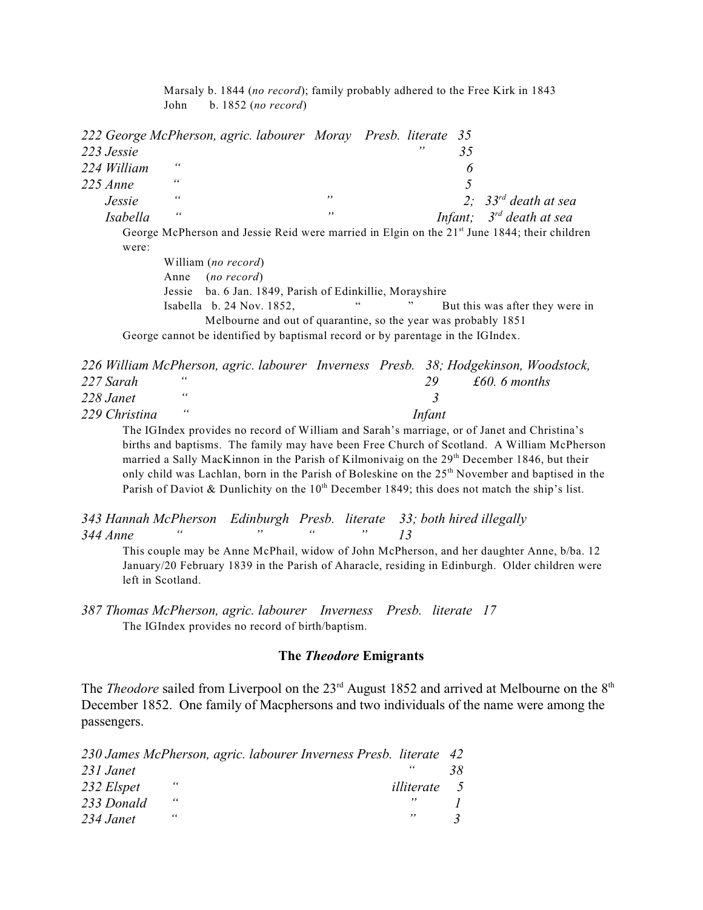Marsaly b. 1844 (*no record*); family probably adhered to the Free Kirk in 1843 John b. 1852 (*no record*)

| 223 Jessie      |        |                                                                   | , ,                      | 35                                                |                                                                                                                                                                                                                                                                                                                                 |
|-----------------|--------|-------------------------------------------------------------------|--------------------------|---------------------------------------------------|---------------------------------------------------------------------------------------------------------------------------------------------------------------------------------------------------------------------------------------------------------------------------------------------------------------------------------|
| 224 William     | 66     |                                                                   |                          | 6                                                 |                                                                                                                                                                                                                                                                                                                                 |
| $225$ Anne      | 66     |                                                                   |                          | 5                                                 |                                                                                                                                                                                                                                                                                                                                 |
| Jessie          | 66     | ,,                                                                |                          |                                                   | 2; $33rd$ death at sea                                                                                                                                                                                                                                                                                                          |
| <i>Isabella</i> | 66     | ,,                                                                |                          |                                                   | Infant; $3^{rd}$ death at sea                                                                                                                                                                                                                                                                                                   |
|                 |        |                                                                   |                          |                                                   |                                                                                                                                                                                                                                                                                                                                 |
| were:           |        |                                                                   |                          |                                                   |                                                                                                                                                                                                                                                                                                                                 |
|                 |        |                                                                   |                          |                                                   |                                                                                                                                                                                                                                                                                                                                 |
|                 | Anne   |                                                                   |                          |                                                   |                                                                                                                                                                                                                                                                                                                                 |
|                 | Jessie |                                                                   |                          |                                                   |                                                                                                                                                                                                                                                                                                                                 |
|                 |        |                                                                   | ,,                       |                                                   | But this was after they were in                                                                                                                                                                                                                                                                                                 |
|                 |        |                                                                   |                          |                                                   |                                                                                                                                                                                                                                                                                                                                 |
|                 |        |                                                                   |                          |                                                   |                                                                                                                                                                                                                                                                                                                                 |
|                 |        | William (no record)<br>(no record)<br>Isabella $b. 24$ Nov. 1852, | $\mathsf{G}\,\mathsf{G}$ | ba. 6 Jan. 1849, Parish of Edinkillie, Morayshire | 222 George McPherson, agric. labourer Moray Presb. literate 35<br>George McPherson and Jessie Reid were married in Elgin on the 21 <sup>st</sup> June 1844; their children<br>Melbourne and out of quarantine, so the year was probably 1851<br>George cannot be identified by baptismal record or by parentage in the IGIndex. |

|               |       | 226 William McPherson, agric. labourer Inverness Presb. 38; Hodgekinson, Woodstock, |  |        |              |  |
|---------------|-------|-------------------------------------------------------------------------------------|--|--------|--------------|--|
| 227 Sarah     | "     |                                                                                     |  | -29-   | £60.6 months |  |
| 228 Janet     | - 6 6 |                                                                                     |  |        |              |  |
| 229 Christina | - 66  |                                                                                     |  | Infant |              |  |

The IGIndex provides no record of William and Sarah's marriage, or of Janet and Christina's births and baptisms. The family may have been Free Church of Scotland. A William McPherson married a Sally MacKinnon in the Parish of Kilmonivaig on the 29<sup>th</sup> December 1846, but their only child was Lachlan, born in the Parish of Boleskine on the 25<sup>th</sup> November and baptised in the Parish of Daviot & Dunlichity on the  $10<sup>th</sup>$  December 1849; this does not match the ship's list.

*343 Hannah McPherson Edinburgh Presb. literate 33; both hired illegally 344 Anne " " " " 13*

This couple may be Anne McPhail, widow of John McPherson, and her daughter Anne, b/ba. 12 January/20 February 1839 in the Parish of Aharacle, residing in Edinburgh. Older children were left in Scotland.

## **The** *Theodore* **Emigrants**

The *Theodore* sailed from Liverpool on the 23<sup>rd</sup> August 1852 and arrived at Melbourne on the 8<sup>th</sup> December 1852. One family of Macphersons and two individuals of the name were among the passengers.

|            |            | 230 James McPherson, agric. labourer Inverness Presb. literate 42 |    |
|------------|------------|-------------------------------------------------------------------|----|
| 231 Janet  |            |                                                                   | 38 |
| 232 Elspet | "          | <i>illiterate</i> 5                                               |    |
| 233 Donald | $\epsilon$ |                                                                   |    |
| 234 Janet  | "          | ,,                                                                |    |

*<sup>387</sup> Thomas McPherson, agric. labourer Inverness Presb. literate 17*  The IGIndex provides no record of birth/baptism.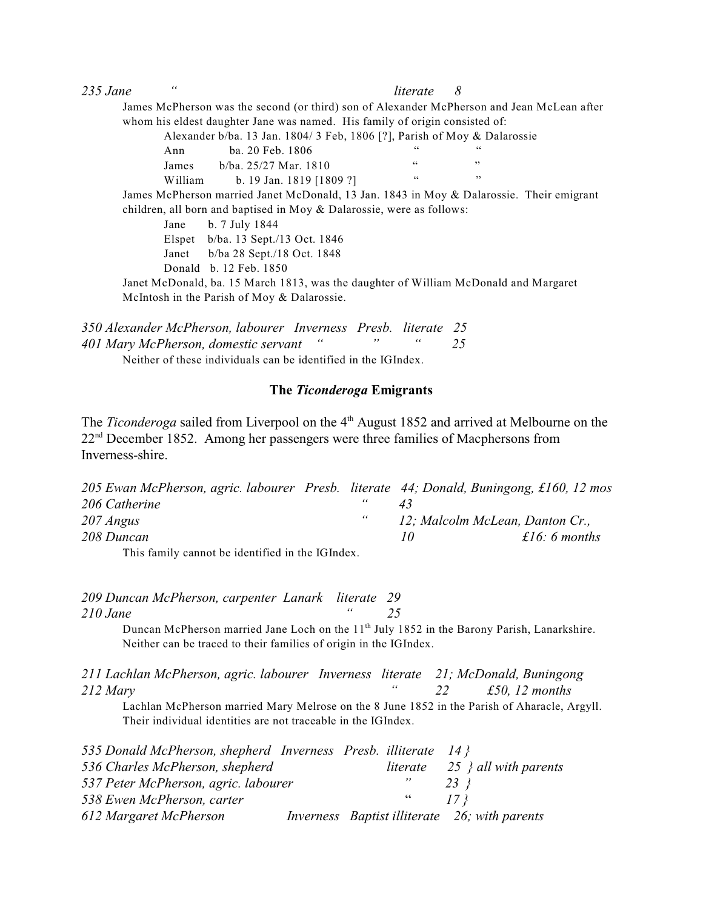| $235$ Jane | $\epsilon$ |                                                                                            | literate | 8   |  |
|------------|------------|--------------------------------------------------------------------------------------------|----------|-----|--|
|            |            | James McPherson was the second (or third) son of Alexander McPherson and Jean McLean after |          |     |  |
|            |            | whom his eldest daughter Jane was named. His family of origin consisted of:                |          |     |  |
|            |            | Alexander b/ba. 13 Jan. 1804/3 Feb, 1806 [?], Parish of Moy & Dalarossie                   |          |     |  |
|            | Ann        | ba. 20 Feb. 1806                                                                           | 66       |     |  |
|            | James      | $b/ba$ , 25/27 Mar, 1810                                                                   | 66       | ,,  |  |
|            | William    | b. 19 Jan. 1819 [1809 ?]                                                                   | 66       | , , |  |
|            |            | James McPherson married Janet McDonald, 13 Jan. 1843 in Moy & Dalarossie. Their emigrant   |          |     |  |
|            |            | children, all born and baptised in Moy & Dalarossie, were as follows:                      |          |     |  |
|            | Jane       | b. 7 July 1844                                                                             |          |     |  |
|            |            | Elspet $b/ba$ . 13 Sept./13 Oct. 1846                                                      |          |     |  |
|            | Janet      | b/ba 28 Sept./18 Oct. 1848                                                                 |          |     |  |
|            |            | Donald b. 12 Feb. 1850                                                                     |          |     |  |
|            |            | Janet McDonald, ba. 15 March 1813, was the daughter of William McDonald and Margaret       |          |     |  |
|            |            | McIntosh in the Parish of Moy & Dalarossie.                                                |          |     |  |

| 350 Alexander McPherson, labourer Inverness Presb. literate 25 |  |  |
|----------------------------------------------------------------|--|--|
| 401 Mary McPherson, domestic servant "                         |  |  |
| Neither of these individuals can be identified in the IGIndex. |  |  |

#### **The** *Ticonderoga* **Emigrants**

The *Ticonderoga* sailed from Liverpool on the 4<sup>th</sup> August 1852 and arrived at Melbourne on the  $22<sup>nd</sup>$  December 1852. Among her passengers were three families of Macphersons from Inverness-shire.

| 205 Ewan McPherson, agric. labourer Presb. literate 44; Donald, Buningong, £160, 12 mos |            |                                 |               |
|-----------------------------------------------------------------------------------------|------------|---------------------------------|---------------|
| 206 Catherine                                                                           | "          |                                 |               |
| 207 Angus                                                                               | $\epsilon$ | 12; Malcolm McLean, Danton Cr., |               |
| 208 Duncan                                                                              |            | 70                              | £16: 6 months |
| This family connot be identified in the IGIndex                                         |            |                                 |               |

This family cannot be identified in the IGIndex.

*209 Duncan McPherson, carpenter Lanark literate 29 210 Jane " 25*

Duncan McPherson married Jane Loch on the 11<sup>th</sup> July 1852 in the Barony Parish, Lanarkshire. Neither can be traced to their families of origin in the IGIndex.

*211 Lachlan McPherson, agric. labourer Inverness literate 21; McDonald, Buningong 212 Mary " 22 £50, 12 months*

Lachlan McPherson married Mary Melrose on the 8 June 1852 in the Parish of Aharacle, Argyll. Their individual identities are not traceable in the IGIndex.

| 535 Donald McPherson, shepherd Inverness Presb. illiterate $14$ |  |                 |                                               |
|-----------------------------------------------------------------|--|-----------------|-----------------------------------------------|
| 536 Charles McPherson, shepherd                                 |  |                 | literate $25 \nmid$ all with parents          |
| 537 Peter McPherson, agric. labourer                            |  | ,,              | 23 X                                          |
| 538 Ewen McPherson, carter                                      |  | $\overline{66}$ | 17 <sup>3</sup>                               |
| 612 Margaret McPherson                                          |  |                 | Inverness Baptist illiterate 26; with parents |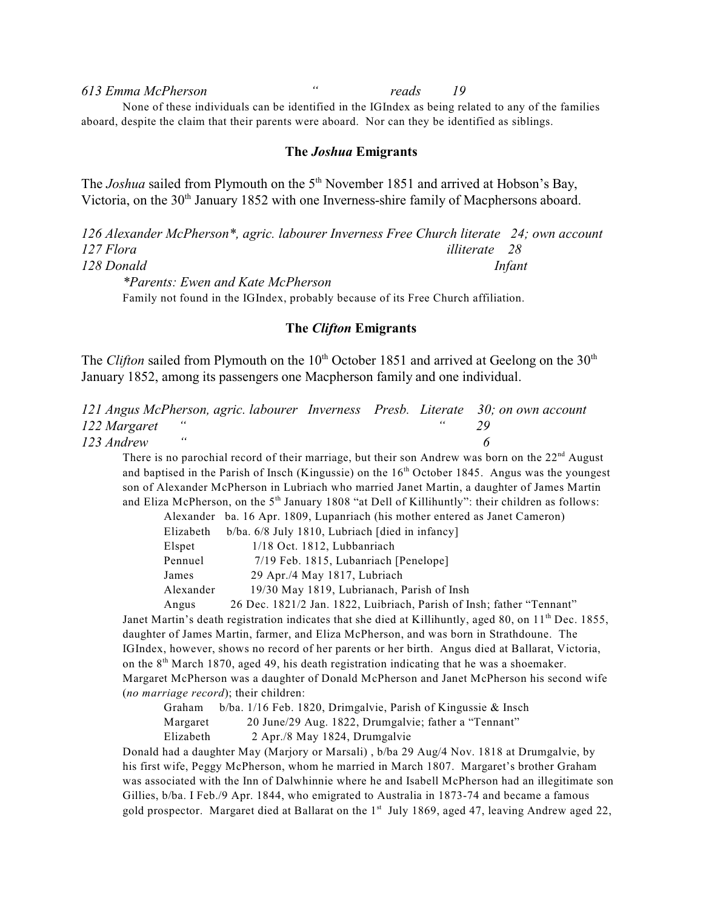*613 Emma McPherson " reads 19* None of these individuals can be identified in the IGIndex as being related to any of the families aboard, despite the claim that their parents were aboard. Nor can they be identified as siblings.

#### **The** *Joshua* **Emigrants**

The *Joshua* sailed from Plymouth on the 5<sup>th</sup> November 1851 and arrived at Hobson's Bay, Victoria, on the  $30<sup>th</sup>$  January 1852 with one Inverness-shire family of Macphersons aboard.

*126 Alexander McPherson\*, agric. labourer Inverness Free Church literate 24; own account 127 Flora illiterate 28 128 Donald Infant \*Parents: Ewen and Kate McPherson*

Family not found in the IGIndex, probably because of its Free Church affiliation.

### **The** *Clifton* **Emigrants**

The *Clifton* sailed from Plymouth on the 10<sup>th</sup> October 1851 and arrived at Geelong on the 30<sup>th</sup> January 1852, among its passengers one Macpherson family and one individual.

|                | 121 Angus McPherson, agric. labourer Inverness Presb. Literate 30; on own account |  |  |
|----------------|-----------------------------------------------------------------------------------|--|--|
| 122 Margaret " |                                                                                   |  |  |
| 123 Andrew     |                                                                                   |  |  |

There is no parochial record of their marriage, but their son Andrew was born on the  $22<sup>nd</sup>$  August and baptised in the Parish of Insch (Kingussie) on the  $16<sup>th</sup>$  October 1845. Angus was the youngest son of Alexander McPherson in Lubriach who married Janet Martin, a daughter of James Martin and Eliza McPherson, on the  $5<sup>th</sup>$  January 1808 "at Dell of Killihuntly": their children as follows:

Alexander ba. 16 Apr. 1809, Lupanriach (his mother entered as Janet Cameron)

| Elizabeth | $b/ba$ . 6/8 July 1810, Lubriach [died in infancy]                                     |
|-----------|----------------------------------------------------------------------------------------|
| Elspet    | 1/18 Oct. 1812, Lubbanriach                                                            |
| Pennuel   | 7/19 Feb. 1815, Lubanriach [Penelope]                                                  |
| James     | 29 Apr./4 May 1817, Lubriach                                                           |
| $\cdots$  | $10/201$ $\ell$ $1010$ $\ell$ $1$ $\ell$ $1$ $\bar{D}$ $\ell$ $1$ $\ell$ $\bar{I}$ $1$ |

Alexander 19/30 May 1819, Lubrianach, Parish of Insh

Angus 26 Dec. 1821/2 Jan. 1822, Luibriach, Parish of Insh; father "Tennant" Janet Martin's death registration indicates that she died at Killihuntly, aged 80, on 11<sup>th</sup> Dec. 1855, daughter of James Martin, farmer, and Eliza McPherson, and was born in Strathdoune. The IGIndex, however, shows no record of her parents or her birth. Angus died at Ballarat, Victoria, on the  $8<sup>th</sup>$  March 1870, aged 49, his death registration indicating that he was a shoemaker. Margaret McPherson was a daughter of Donald McPherson and Janet McPherson his second wife (*no marriage record*); their children:

| Graham    | $b/ba$ . 1/16 Feb. 1820, Drimgalvie, Parish of Kingussie & Insch |
|-----------|------------------------------------------------------------------|
| Margaret  | 20 June/29 Aug. 1822, Drumgalvie; father a "Tennant"             |
| Elizabeth | 2 Apr./8 May 1824, Drumgalvie                                    |

Donald had a daughter May (Marjory or Marsali) , b/ba 29 Aug/4 Nov. 1818 at Drumgalvie, by his first wife, Peggy McPherson, whom he married in March 1807. Margaret's brother Graham was associated with the Inn of Dalwhinnie where he and Isabell McPherson had an illegitimate son Gillies, b/ba. I Feb./9 Apr. 1844, who emigrated to Australia in 1873-74 and became a famous gold prospector. Margaret died at Ballarat on the  $1<sup>st</sup>$  July 1869, aged 47, leaving Andrew aged 22,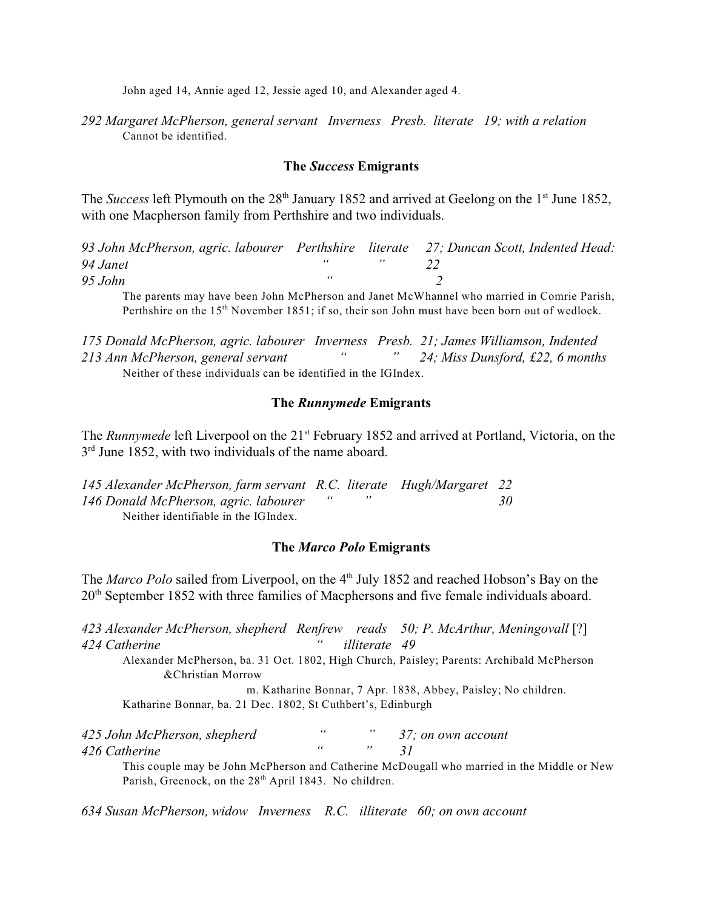John aged 14, Annie aged 12, Jessie aged 10, and Alexander aged 4.

*292 Margaret McPherson, general servant Inverness Presb. literate 19; with a relation* Cannot be identified.

### **The** *Success* **Emigrants**

The *Success* left Plymouth on the 28<sup>th</sup> January 1852 and arrived at Geelong on the 1<sup>st</sup> June 1852, with one Macpherson family from Perthshire and two individuals.

*93 John McPherson, agric. labourer Perthshire literate 27; Duncan Scott, Indented Head: 94 Janet " " 22 95 John " 2*

The parents may have been John McPherson and Janet McWhannel who married in Comrie Parish, Perthshire on the  $15<sup>th</sup>$  November 1851; if so, their son John must have been born out of wedlock.

*175 Donald McPherson, agric. labourer Inverness Presb. 21; James Williamson, Indented 213 Ann McPherson, general servant " " 24; Miss Dunsford, £22, 6 months* Neither of these individuals can be identified in the IGIndex.

### **The** *Runnymede* **Emigrants**

The *Runnymede* left Liverpool on the 21<sup>st</sup> February 1852 and arrived at Portland, Victoria, on the  $3<sup>rd</sup>$  June 1852, with two individuals of the name aboard.

*145 Alexander McPherson, farm servant R.C. literate Hugh/Margaret 22 146 Donald McPherson, agric. labourer " " 30* Neither identifiable in the IGIndex.

## **The** *Marco Polo* **Emigrants**

The *Marco Polo* sailed from Liverpool, on the 4<sup>th</sup> July 1852 and reached Hobson's Bay on the  $20<sup>th</sup>$  September 1852 with three families of Macphersons and five female individuals aboard.

*423 Alexander McPherson, shepherd Renfrew reads 50; P. McArthur, Meningovall* [?] *424 Catherine " illiterate 49*

Alexander McPherson, ba. 31 Oct. 1802, High Church, Paisley; Parents: Archibald McPherson &Christian Morrow

m. Katharine Bonnar, 7 Apr. 1838, Abbey, Paisley; No children. Katharine Bonnar, ba. 21 Dec. 1802, St Cuthbert's, Edinburgh

| 425 John McPherson, shepherd |  | 37; on own account |
|------------------------------|--|--------------------|
| 426 Catherine                |  |                    |

This couple may be John McPherson and Catherine McDougall who married in the Middle or New Parish, Greenock, on the 28<sup>th</sup> April 1843. No children.

*634 Susan McPherson, widow Inverness R.C. illiterate 60; on own account*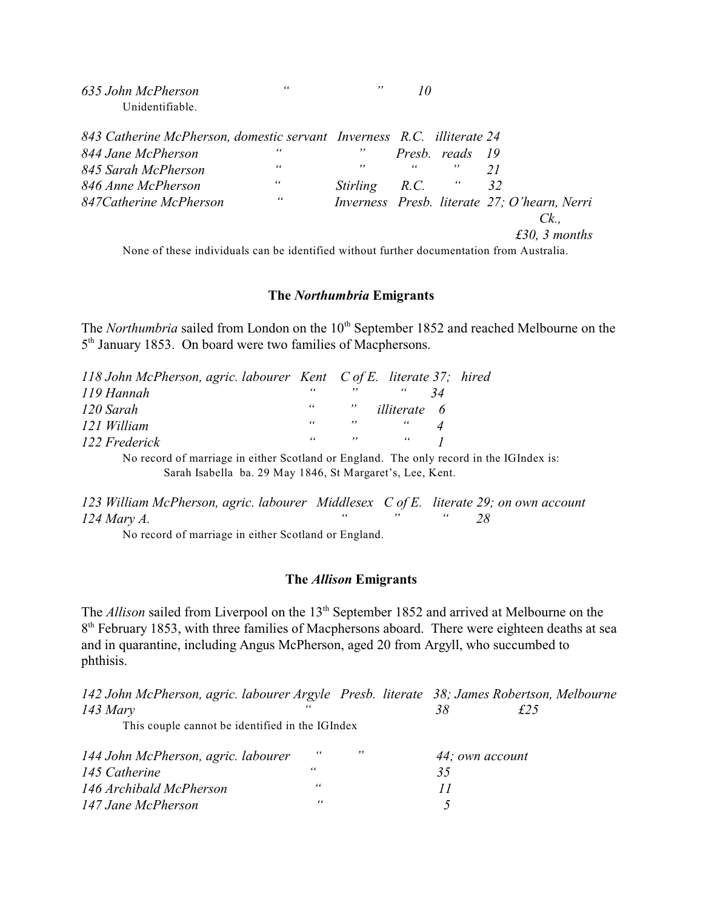| 635 John McPherson | " |  |  |
|--------------------|---|--|--|
| Unidentifiable.    |   |  |  |

| 843 Catherine McPherson, domestic servant Inverness R.C. illiterate 24 |    |                        |                                 |                                              |
|------------------------------------------------------------------------|----|------------------------|---------------------------------|----------------------------------------------|
| 844 Jane McPherson                                                     | "  |                        | Presb. reads 19                 |                                              |
| 845 Sarah McPherson                                                    | 66 | $, \,$                 | $\mathcal{U}$ and $\mathcal{U}$ |                                              |
| 846 Anne McPherson                                                     | 66 | <i>Stirling R.C.</i> " |                                 | - 32                                         |
| 847 Catherine McPherson                                                | 66 |                        |                                 | Inverness Presb. literate 27; O'hearn, Nerri |
|                                                                        |    |                        |                                 | $Ck$                                         |
|                                                                        |    |                        |                                 | £30, 3 months                                |
|                                                                        |    |                        |                                 |                                              |

None of these individuals can be identified without further documentation from Australia.

## **The** *Northumbria* **Emigrants**

The *Northumbria* sailed from London on the 10<sup>th</sup> September 1852 and reached Melbourne on the  $5<sup>th</sup>$  January 1853. On board were two families of Macphersons.

| 118 John McPherson, agric. labourer Kent C of E. literate 37; hired |  |                                                                          |  |
|---------------------------------------------------------------------|--|--------------------------------------------------------------------------|--|
| 119 Hannah                                                          |  | $\alpha = -\frac{m}{2}$ and $\alpha =$                                   |  |
| 120 Sarah                                                           |  | " <i>illiterate</i> 6                                                    |  |
| 121 William                                                         |  | $\alpha = -m$ and $\alpha$                                               |  |
| 122 Frederick                                                       |  | $\begin{array}{ccccccccc}\n\alpha & & & n & & \alpha & & 1\n\end{array}$ |  |

No record of marriage in either Scotland or England. The only record in the IGIndex is: Sarah Isabella ba. 29 May 1846, St Margaret's, Lee, Kent.

*123 William McPherson, agric. labourer Middlesex C of E. literate 29; on own account 124 Mary A. " " " 28*

No record of marriage in either Scotland or England.

## **The** *Allison* **Emigrants**

The *Allison* sailed from Liverpool on the 13<sup>th</sup> September 1852 and arrived at Melbourne on the  $8<sup>th</sup>$  February 1853, with three families of Macphersons aboard. There were eighteen deaths at sea and in quarantine, including Angus McPherson, aged 20 from Argyll, who succumbed to phthisis.

| 142 John McPherson, agric. labourer Argyle Presb. literate 38; James Robertson, Melbourne |    |     |    |                 |  |
|-------------------------------------------------------------------------------------------|----|-----|----|-----------------|--|
| $143$ Mary                                                                                |    |     | 38 | £25             |  |
| This couple cannot be identified in the IGIndex                                           |    |     |    |                 |  |
| 144 John McPherson, agric. labourer                                                       | 66 | , , |    | 44; own account |  |
| 145 Catherine                                                                             | 66 |     | 35 |                 |  |
| 146 Archibald McPherson                                                                   | 66 |     |    |                 |  |
| 147 Jane McPherson                                                                        | 66 |     |    |                 |  |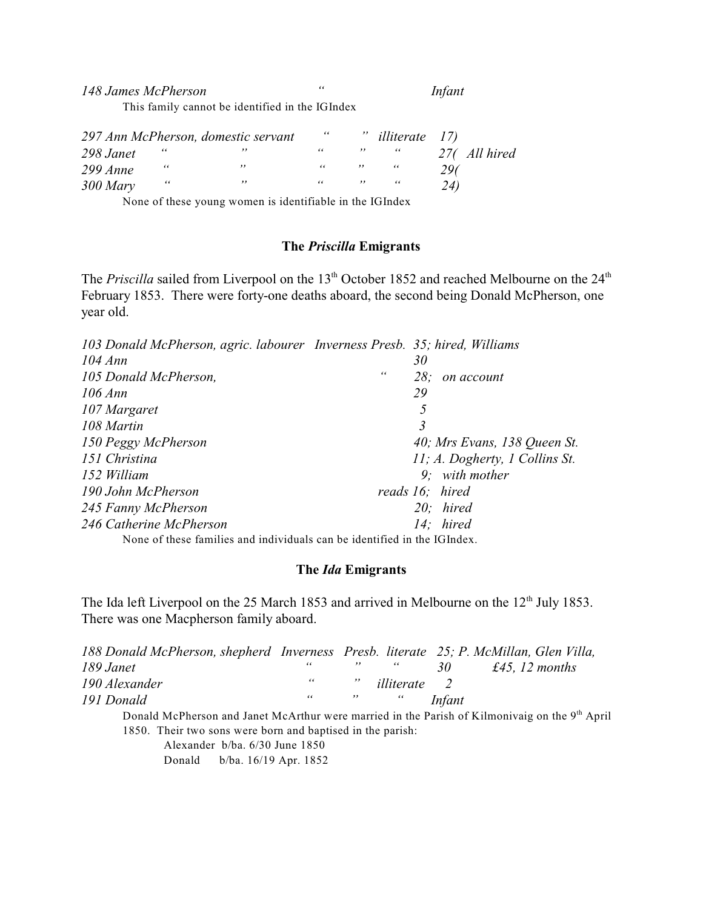*148 James McPherson " Infant* This family cannot be identified in the IGIndex

|            |   | 297 Ann McPherson, domestic servant | $\epsilon$ | ,, | <i>illiterate</i> 17) |              |
|------------|---|-------------------------------------|------------|----|-----------------------|--------------|
| 298 Janet  | " |                                     | 66         |    | "                     | 27(All hired |
| $299$ Anne | " | ,,                                  | 66         |    |                       | 296          |
| $300$ Mary | " | ,,                                  | 66         |    | -66                   | 24)          |

None of these young women is identifiable in the IGIndex

# **The** *Priscilla* **Emigrants**

The *Priscilla* sailed from Liverpool on the 13<sup>th</sup> October 1852 and reached Melbourne on the 24<sup>th</sup> February 1853. There were forty-one deaths aboard, the second being Donald McPherson, one year old.

| 103 Donald McPherson, agric. labourer Inverness Presb. 35; hired, Williams |                                |
|----------------------------------------------------------------------------|--------------------------------|
| $104 \text{ Ann}$                                                          | 30                             |
| 105 Donald McPherson,                                                      | 66<br>28:<br>on account        |
| $106 \text{ } Ann$                                                         | 29                             |
| 107 Margaret                                                               | 5                              |
| 108 Martin                                                                 | 3                              |
| 150 Peggy McPherson                                                        | 40; Mrs Evans, 138 Queen St.   |
| 151 Christina                                                              | 11; A. Dogherty, 1 Collins St. |
| 152 William                                                                | $9:$ with mother               |
| 190 John McPherson                                                         | reads 16; hired                |
| 245 Fanny McPherson                                                        | $20$ ; hired                   |
| 246 Catherine McPherson                                                    | 14: hired                      |
| None of these families and individuals can be identified in the IGIndex.   |                                |

## **The** *Ida* **Emigrants**

The Ida left Liverpool on the 25 March 1853 and arrived in Melbourne on the  $12<sup>th</sup>$  July 1853. There was one Macpherson family aboard.

| 188 Donald McPherson, shepherd Inverness Presb. literate 25; P. McMillan, Glen Villa,          |                           |                                                                     |            |                |                |
|------------------------------------------------------------------------------------------------|---------------------------|---------------------------------------------------------------------|------------|----------------|----------------|
| 189 Janet                                                                                      | 66                        | $\cdots$                                                            | $\epsilon$ | 30             | £45, 12 months |
| 190 Alexander                                                                                  | $\epsilon$ and $\epsilon$ |                                                                     | illiterate | $\overline{2}$ |                |
| 191 Donald                                                                                     | 66                        | $\mathcal{D}$ and $\mathcal{D}$ and $\mathcal{D}$ and $\mathcal{D}$ |            | Infant         |                |
| Donald McPherson and Janet McArthur were married in the Parish of Kilmonivaig on the 9th April |                           |                                                                     |            |                |                |
| 1850. Their two sons were born and baptised in the parish:                                     |                           |                                                                     |            |                |                |

Alexander b/ba. 6/30 June 1850 Donald b/ba. 16/19 Apr. 1852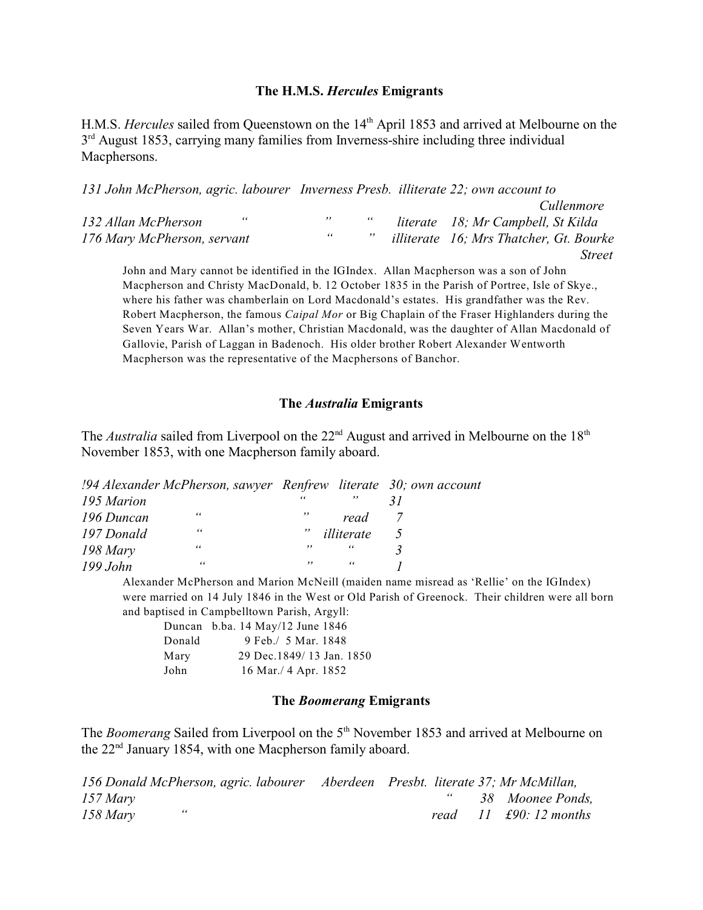## **The H.M.S.** *Hercules* **Emigrants**

H.M.S. *Hercules* sailed from Queenstown on the 14<sup>th</sup> April 1853 and arrived at Melbourne on the  $3<sup>rd</sup>$  August 1853, carrying many families from Inverness-shire including three individual Macphersons.

| 131 John McPherson, agric. labourer Inverness Presb. illiterate 22; own account to |      |    |        |                                                |
|------------------------------------------------------------------------------------|------|----|--------|------------------------------------------------|
|                                                                                    |      |    |        | <i>Cullenmore</i>                              |
| 132 Allan McPherson                                                                | - 66 | ,, | 66     | literate 18; Mr Campbell, St Kilda             |
| 176 Mary McPherson, servant                                                        |      | 66 | $, \,$ | <i>illiterate</i> 16; Mrs Thatcher, Gt. Bourke |
|                                                                                    |      |    |        | <i>Street</i>                                  |

John and Mary cannot be identified in the IGIndex. Allan Macpherson was a son of John Macpherson and Christy MacDonald, b. 12 October 1835 in the Parish of Portree, Isle of Skye., where his father was chamberlain on Lord Macdonald's estates. His grandfather was the Rev. Robert Macpherson, the famous *Caipal Mor* or Big Chaplain of the Fraser Highlanders during the Seven Years War. Allan's mother, Christian Macdonald, was the daughter of Allan Macdonald of Gallovie, Parish of Laggan in Badenoch. His older brother Robert Alexander Wentworth Macpherson was the representative of the Macphersons of Banchor.

## **The** *Australia* **Emigrants**

The *Australia* sailed from Liverpool on the 22<sup>nd</sup> August and arrived in Melbourne on the 18<sup>th</sup> November 1853, with one Macpherson family aboard.

|            | !94 Alexander McPherson, sawyer Renfrew literate 30; own account |            |            |    |  |
|------------|------------------------------------------------------------------|------------|------------|----|--|
| 195 Marion |                                                                  | $\epsilon$ | ,,         |    |  |
| 196 Duncan | 66                                                               |            | read       |    |  |
| 197 Donald | 66                                                               | ,,         | illiterate | -5 |  |
| $198$ Mary | 66                                                               | , ,        | 66         |    |  |
| $199$ John | 66                                                               | $, \,$     | "          |    |  |

Alexander McPherson and Marion McNeill (maiden name misread as 'Rellie' on the IGIndex) were married on 14 July 1846 in the West or Old Parish of Greenock. Their children were all born and baptised in Campbelltown Parish, Argyll:

|        | Duncan b.ba. 14 May/12 June 1846 |
|--------|----------------------------------|
| Donald | 9 Feb./ 5 Mar. 1848              |
| Mary   | 29 Dec.1849/13 Jan. 1850         |
| John   | 16 Mar./ 4 Apr. 1852             |

# **The** *Boomerang* **Emigrants**

The *Boomerang* Sailed from Liverpool on the 5<sup>th</sup> November 1853 and arrived at Melbourne on the  $22<sup>nd</sup>$  January 1854, with one Macpherson family aboard.

|          | 156 Donald McPherson, agric. labourer Aberdeen Presbt. literate 37; Mr McMillan, |  |  |                                           |
|----------|----------------------------------------------------------------------------------|--|--|-------------------------------------------|
| 157 Mary |                                                                                  |  |  | 38 Moonee Ponds.                          |
| 158 Mary | "                                                                                |  |  | read $11 \text{ } f90: 12 \text{ months}$ |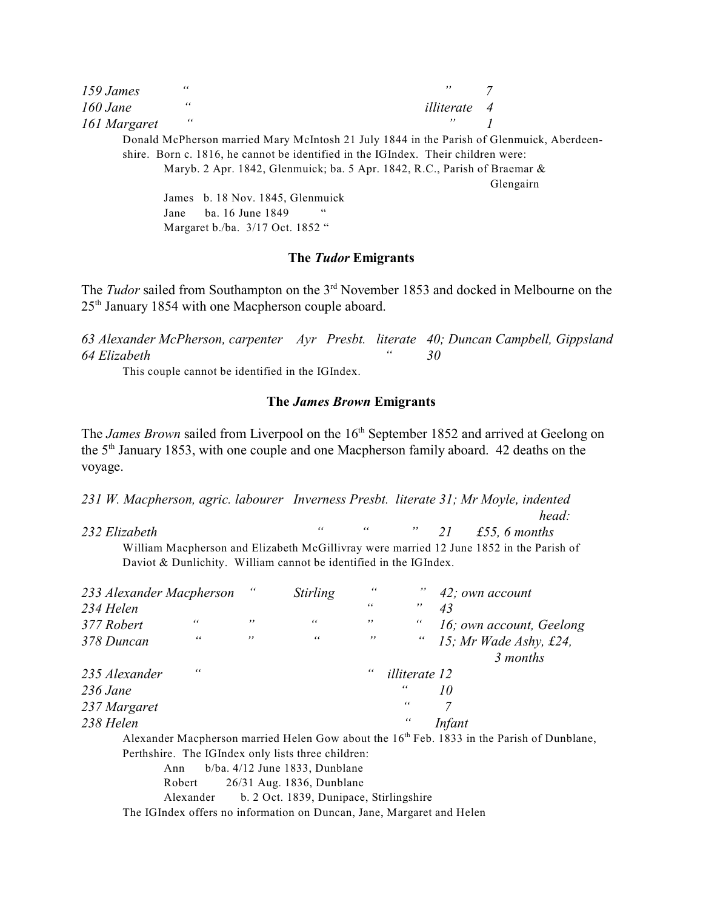| 159 James    | $\epsilon$                       | , ,                                                                                       |           |
|--------------|----------------------------------|-------------------------------------------------------------------------------------------|-----------|
| $160$ Jane   | 66                               | <i>illiterate</i> 4                                                                       |           |
| 161 Margaret | 66                               | $, \,$                                                                                    |           |
|              |                                  | Donald McPherson married Mary McIntosh 21 July 1844 in the Parish of Glenmuick, Aberdeen- |           |
|              |                                  | shire. Born c. 1816, he cannot be identified in the IGIndex. Their children were:         |           |
|              |                                  | Maryb. 2 Apr. 1842, Glenmuick; ba. 5 Apr. 1842, R.C., Parish of Braemar &                 |           |
|              |                                  |                                                                                           | Glengairn |
|              | James b. 18 Nov. 1845, Glenmuick |                                                                                           |           |
|              | ba. 16 June 1849<br>Jane         | 66                                                                                        |           |
|              | Margaret b./ba. 3/17 Oct. 1852 " |                                                                                           |           |

### **The** *Tudor* **Emigrants**

The *Tudor* sailed from Southampton on the 3<sup>rd</sup> November 1853 and docked in Melbourne on the  $25<sup>th</sup>$  January 1854 with one Macpherson couple aboard.

*63 Alexander McPherson, carpenter Ayr Presbt. literate 40; Duncan Campbell, Gippsland 64 Elizabeth " 30*

This couple cannot be identified in the IGIndex.

## **The** *James Brown* **Emigrants**

The *James Brown* sailed from Liverpool on the 16<sup>th</sup> September 1852 and arrived at Geelong on the 5<sup>th</sup> January 1853, with one couple and one Macpherson family aboard. 42 deaths on the voyage.

*231 W. Macpherson, agric. labourer Inverness Presbt. literate 31; Mr Moyle, indented head: 232 Elizabeth " " " 21 £55, 6 months* William Macpherson and Elizabeth McGillivray were married 12 June 1852 in the Parish of

Daviot & Dunlichity. William cannot be identified in the IGIndex.

| 233 Alexander Macpherson                           |     | <b>Stirling</b>                  | 66  |                      | 42; own account                                                                                        |
|----------------------------------------------------|-----|----------------------------------|-----|----------------------|--------------------------------------------------------------------------------------------------------|
| 234 Helen                                          |     |                                  | 66  | $, \,$               | 43                                                                                                     |
| 66<br>377 Robert                                   | ,,  | 66                               | ,,  | 66                   | 16; own account, Geelong                                                                               |
| 66<br>378 Duncan                                   | , , | 66                               | , , | $\epsilon$           | 15; Mr Wade Ashy, £24,                                                                                 |
|                                                    |     |                                  |     |                      | 3 months                                                                                               |
| "<br>235 Alexander                                 |     |                                  | 66  | <i>illiterate</i> 12 |                                                                                                        |
| $236$ Jane                                         |     |                                  |     | "                    | 10                                                                                                     |
| 237 Margaret                                       |     |                                  |     | 66                   | 7                                                                                                      |
| 238 Helen                                          |     |                                  |     | 66                   | <i>Infant</i>                                                                                          |
|                                                    |     |                                  |     |                      | Alexander Macpherson married Helen Gow about the 16 <sup>th</sup> Feb. 1833 in the Parish of Dunblane, |
| Perthshire. The IGIndex only lists three children: |     |                                  |     |                      |                                                                                                        |
| Ann                                                |     | $b/ba. 4/12$ June 1833, Dunblane |     |                      |                                                                                                        |
| Robert                                             |     | 26/31 Aug. 1836, Dunblane        |     |                      |                                                                                                        |

Alexander b. 2 Oct. 1839, Dunipace, Stirlingshire

The IGIndex offers no information on Duncan, Jane, Margaret and Helen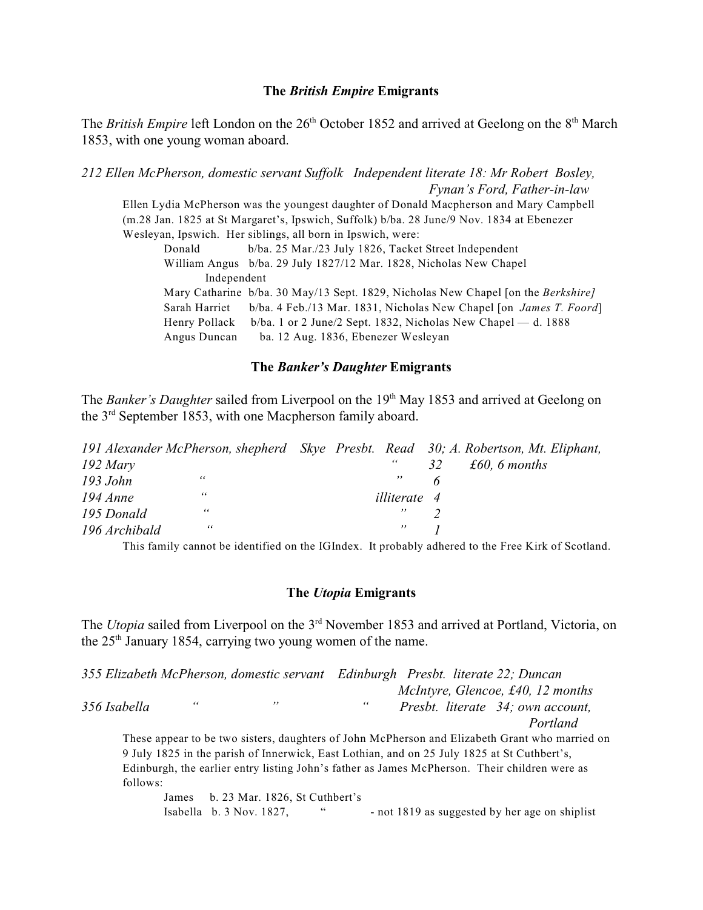## **The** *British Empire* **Emigrants**

The *British Empire* left London on the 26<sup>th</sup> October 1852 and arrived at Geelong on the 8<sup>th</sup> March 1853, with one young woman aboard.

*212 Ellen McPherson, domestic servant Suffolk Independent literate 18: Mr Robert Bosley, Fynan's Ford, Father-in-law*

Ellen Lydia McPherson was the youngest daughter of Donald Macpherson and Mary Campbell (m.28 Jan. 1825 at St Margaret's, Ipswich, Suffolk) b/ba. 28 June/9 Nov. 1834 at Ebenezer Wesleyan, Ipswich. Her siblings, all born in Ipswich, were:

Donald b/ba. 25 Mar./23 July 1826, Tacket Street Independent William Angus b/ba. 29 July 1827/12 Mar. 1828, Nicholas New Chapel Independent Mary Catharine b/ba. 30 May/13 Sept. 1829, Nicholas New Chapel [on the *Berkshire]* Sarah Harriet b/ba. 4 Feb./13 Mar. 1831, Nicholas New Chapel [on *James T. Foord*] Henry Pollack b/ba. 1 or 2 June/2 Sept. 1832, Nicholas New Chapel — d. 1888 Angus Duncan ba. 12 Aug. 1836, Ebenezer Wesleyan

### **The** *Banker's Daughter* **Emigrants**

The *Banker's Daughter* sailed from Liverpool on the 19<sup>th</sup> May 1853 and arrived at Geelong on the  $3<sup>rd</sup>$  September 1853, with one Macpherson family aboard.

|               | 191 Alexander McPherson, shepherd Skye Presbt. Read 30; A. Robertson, Mt. Eliphant, |                     |               |  |
|---------------|-------------------------------------------------------------------------------------|---------------------|---------------|--|
| $192$ Mary    |                                                                                     | 66                  | £60, 6 months |  |
| 193 John      | 66                                                                                  |                     |               |  |
| $194$ Anne    | 66                                                                                  | <i>illiterate</i> 4 |               |  |
| 195 Donald    | 66                                                                                  | "                   |               |  |
| 196 Archibald | 66                                                                                  | ,,                  |               |  |
|               |                                                                                     |                     |               |  |

This family cannot be identified on the IGIndex. It probably adhered to the Free Kirk of Scotland.

#### **The** *Utopia* **Emigrants**

The *Utopia* sailed from Liverpool on the 3<sup>rd</sup> November 1853 and arrived at Portland, Victoria, on the  $25<sup>th</sup>$  January 1854, carrying two young women of the name.

*355 Elizabeth McPherson, domestic servant Edinburgh Presbt. literate 22; Duncan McIntyre, Glencoe, £40, 12 months 356 Isabella " " " Presbt. literate 34; own account, Portland*

These appear to be two sisters, daughters of John McPherson and Elizabeth Grant who married on 9 July 1825 in the parish of Innerwick, East Lothian, and on 25 July 1825 at St Cuthbert's, Edinburgh, the earlier entry listing John's father as James McPherson. Their children were as follows:

James b. 23 Mar. 1826, St Cuthbert's Isabella b.  $3$  Nov. 1827, " $\cdots$  - not 1819 as suggested by her age on shiplist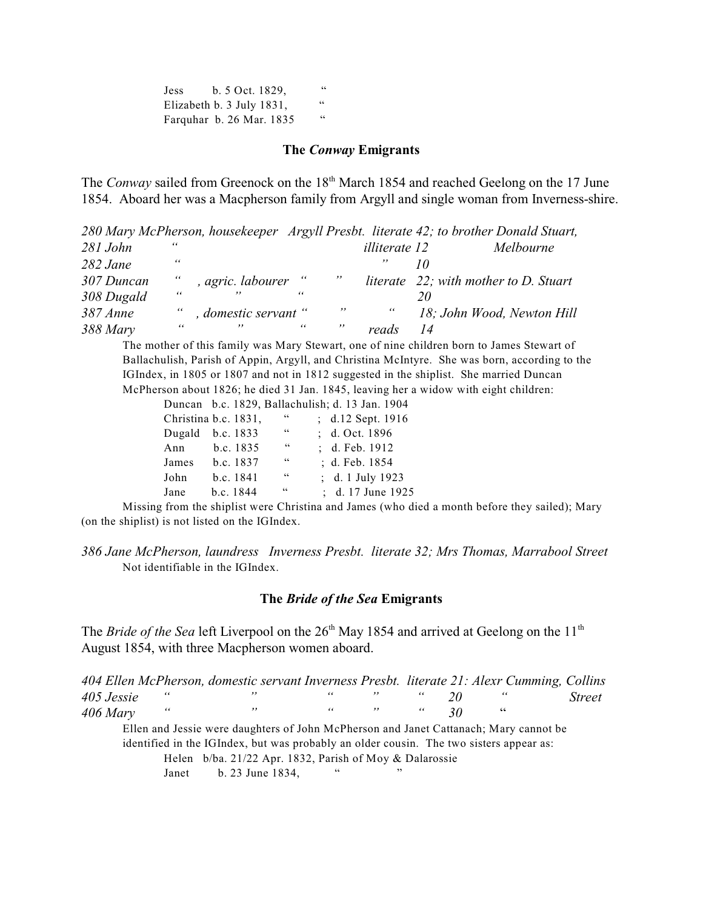Jess b. 5 Oct. 1829, " Elizabeth b. 3 July 1831, " Farquhar b. 26 Mar. 1835 "

### **The** *Conway* **Emigrants**

The *Conway* sailed from Greenock on the 18<sup>th</sup> March 1854 and reached Geelong on the 17 June 1854. Aboard her was a Macpherson family from Argyll and single woman from Inverness-shire.

*280 Mary McPherson, housekeeper Argyll Presbt. literate 42; to brother Donald Stuart, 281 John " illiterate 12 Melbourne 282 Jane " " 10 307 Duncan " , agric. labourer " " literate 22; with mother to D. Stuart 308 Dugald " " " 20 387 Anne " , domestic servant " " " 18; John Wood, Newton Hill 388 Mary " " " " reads 14*

The mother of this family was Mary Stewart, one of nine children born to James Stewart of Ballachulish, Parish of Appin, Argyll, and Christina McIntyre. She was born, according to the IGIndex, in 1805 or 1807 and not in 1812 suggested in the shiplist. She married Duncan McPherson about 1826; he died 31 Jan. 1845, leaving her a widow with eight children:

Duncan b.c. 1829, Ballachulish; d. 13 Jan. 1904

|       | Christina b.c. 1831, | 66 | ; d.12 Sept. 1916 |
|-------|----------------------|----|-------------------|
|       | Dugald b.c. 1833     | 66 | : d. Oct. 1896    |
| Ann   | b.c. 1835            | 66 | $id.$ Feb. 1912   |
| James | b.c. 1837            | 66 | ; d. Feb. 1854    |
| John  | b.c. 1841            | 66 | ; d. 1 July 1923  |
| Jane  | $b.c.$ 1844          | 66 | ; d. 17 June 1925 |
|       |                      |    |                   |

Missing from the shiplist were Christina and James (who died a month before they sailed); Mary (on the shiplist) is not listed on the IGIndex.

*386 Jane McPherson, laundress Inverness Presbt. literate 32; Mrs Thomas, Marrabool Street* Not identifiable in the IGIndex.

#### **The** *Bride of the Sea* **Emigrants**

The *Bride of the Sea* left Liverpool on the 26<sup>th</sup> May 1854 and arrived at Geelong on the 11<sup>th</sup> August 1854, with three Macpherson women aboard.

|            |            | 404 Ellen McPherson, domestic servant Inverness Presbt. literate 21: Alexr Cumming, Collins |            |        |    |    |            |               |
|------------|------------|---------------------------------------------------------------------------------------------|------------|--------|----|----|------------|---------------|
| 405 Jessie | $\epsilon$ | $, \,$                                                                                      | 66         | , ,    | 66 |    | $\epsilon$ | <i>Street</i> |
| $406$ Mary | 66         | ,,                                                                                          | 66         | $, \,$ | 66 | 30 | 66         |               |
|            |            | Ellen and Jessie were daughters of John McPherson and Janet Cattanach; Mary cannot be       |            |        |    |    |            |               |
|            |            | identified in the IGIndex, but was probably an older cousin. The two sisters appear as:     |            |        |    |    |            |               |
|            |            | Helen $b/ba$ . 21/22 Apr. 1832, Parish of Moy & Dalarossie                                  |            |        |    |    |            |               |
|            | Janet      | b. 23 June 1834,                                                                            | $\epsilon$ | ,,     |    |    |            |               |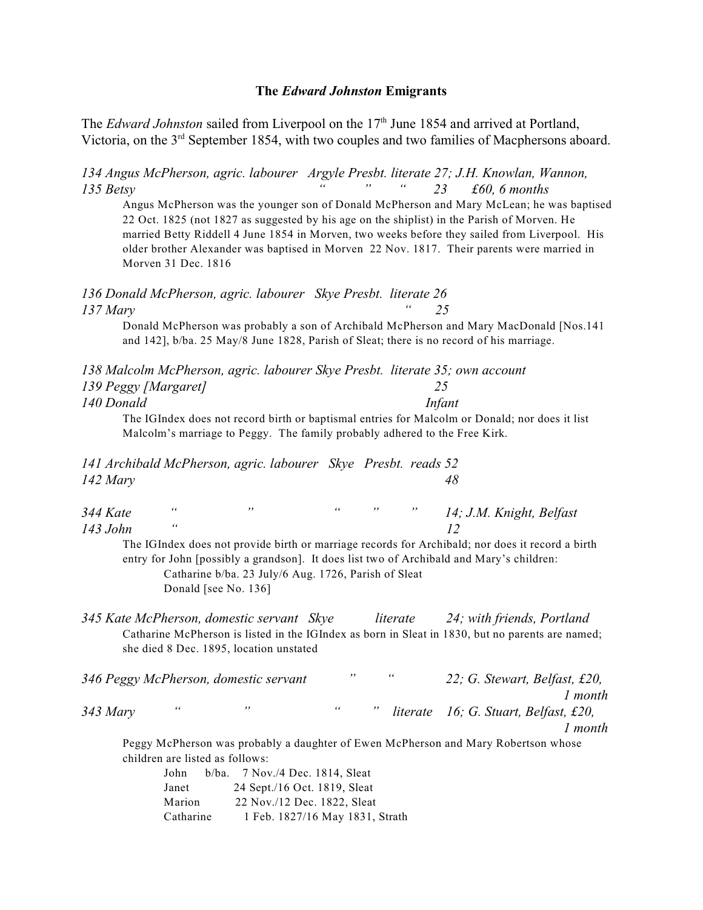### **The** *Edward Johnston* **Emigrants**

The *Edward Johnston* sailed from Liverpool on the 17<sup>th</sup> June 1854 and arrived at Portland, Victoria, on the  $3<sup>rd</sup>$  September 1854, with two couples and two families of Macphersons aboard.

*134 Angus McPherson, agric. labourer Argyle Presbt. literate 27; J.H. Knowlan, Wannon, 135 Betsy " " " 23 £60, 6 months*

Angus McPherson was the younger son of Donald McPherson and Mary McLean; he was baptised 22 Oct. 1825 (not 1827 as suggested by his age on the shiplist) in the Parish of Morven. He married Betty Riddell 4 June 1854 in Morven, two weeks before they sailed from Liverpool. His older brother Alexander was baptised in Morven 22 Nov. 1817. Their parents were married in Morven 31 Dec. 1816

*136 Donald McPherson, agric. labourer Skye Presbt. literate 26 137 Mary " 25*

Donald McPherson was probably a son of Archibald McPherson and Mary MacDonald [Nos.141 and 142], b/ba. 25 May/8 June 1828, Parish of Sleat; there is no record of his marriage.

| 138 Malcolm McPherson, agric. labourer Skye Presbt. literate 35; own account |        |
|------------------------------------------------------------------------------|--------|
| 139 Peggy [Margaret]                                                         |        |
| 140 Donald                                                                   | Infant |
|                                                                              |        |

The IGIndex does not record birth or baptismal entries for Malcolm or Donald; nor does it list Malcolm's marriage to Peggy. The family probably adhered to the Free Kirk.

*141 Archibald McPherson, agric. labourer Skye Presbt. reads 52 142 Mary 48*

| 344 Kate |  |  | 14; J.M. Knight, Belfast |
|----------|--|--|--------------------------|
| 143 John |  |  |                          |

The IGIndex does not provide birth or marriage records for Archibald; nor does it record a birth entry for John [possibly a grandson]. It does list two of Archibald and Mary's children: Catharine b/ba. 23 July/6 Aug. 1726, Parish of Sleat Donald [see No. 136]

*345 Kate McPherson, domestic servant Skye literate 24; with friends, Portland* Catharine McPherson is listed in the IGIndex as born in Sleat in 1830, but no parents are named; she died 8 Dec. 1895, location unstated

|          |   | 346 Peggy McPherson, domestic servant | ,, | $\epsilon$ | 22; G. Stewart, Belfast, £20,         |
|----------|---|---------------------------------------|----|------------|---------------------------------------|
|          |   |                                       |    |            | l month                               |
| 343 Mary | " | ,,                                    | 66 |            | literate 16; G. Stuart, Belfast, £20, |
|          |   |                                       |    |            | 1 month                               |

Peggy McPherson was probably a daughter of Ewen McPherson and Mary Robertson whose children are listed as follows:

| John      | $b/ba$ . 7 Nov./4 Dec. 1814, Sleat |
|-----------|------------------------------------|
| Janet     | 24 Sept./16 Oct. 1819, Sleat       |
| Marion    | 22 Nov./12 Dec. 1822, Sleat        |
| Catharine | 1 Feb. 1827/16 May 1831, Strath    |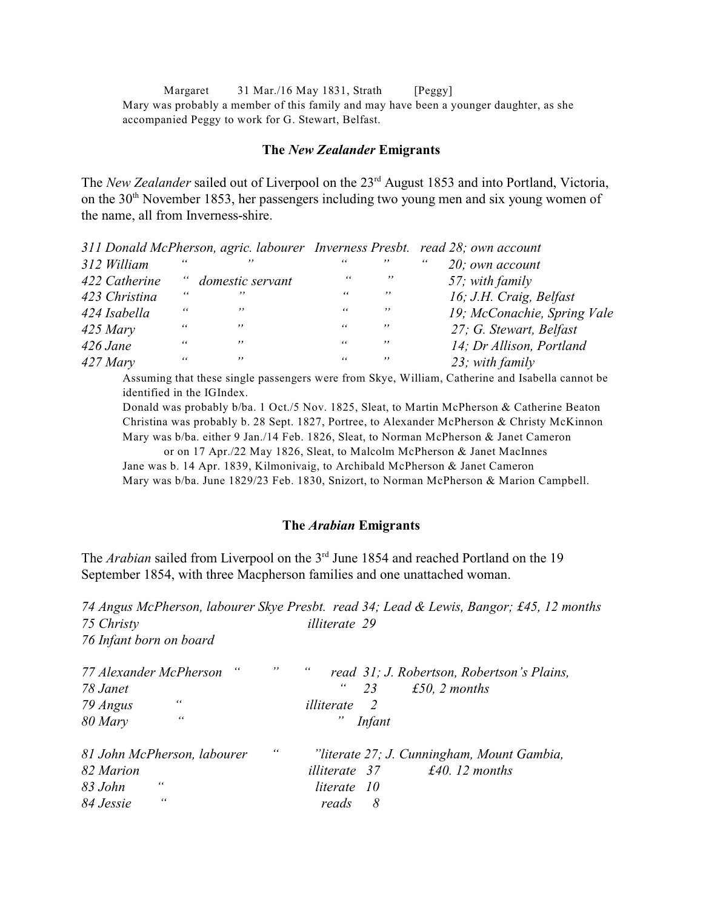Margaret 31 Mar./16 May 1831, Strath [Peggy] Mary was probably a member of this family and may have been a younger daughter, as she accompanied Peggy to work for G. Stewart, Belfast.

#### **The** *New Zealander* **Emigrants**

The *New Zealander* sailed out of Liverpool on the 23<sup>rd</sup> August 1853 and into Portland, Victoria, on the  $30<sup>th</sup>$  November 1853, her passengers including two young men and six young women of the name, all from Inverness-shire.

|               |            |                    |            |        | 311 Donald McPherson, agric. labourer Inverness Presbt. read 28; own account |
|---------------|------------|--------------------|------------|--------|------------------------------------------------------------------------------|
| 312 William   | 66         | , ,                | 66         | , ,    | $\epsilon$<br>20; own account                                                |
| 422 Catherine |            | " domestic servant | 66         | , ,    | 57; with family                                                              |
| 423 Christina | 66         | , ,                | 66         | , ,    | 16; J.H. Craig, Belfast                                                      |
| 424 Isabella  | 66         | , ,                | 66         | , ,    | 19; McConachie, Spring Vale                                                  |
| $425$ Mary    | 66         | , ,                | 66         | , ,    | 27; G. Stewart, Belfast                                                      |
| $426$ Jane    | $\epsilon$ | , ,                | $\epsilon$ | , ,    | 14; Dr Allison, Portland                                                     |
| $427$ Mary    | 66         | , ,                | $\epsilon$ | $, \,$ | 23; with family                                                              |

Assuming that these single passengers were from Skye, William, Catherine and Isabella cannot be identified in the IGIndex.

Donald was probably b/ba. 1 Oct./5 Nov. 1825, Sleat, to Martin McPherson & Catherine Beaton Christina was probably b. 28 Sept. 1827, Portree, to Alexander McPherson & Christy McKinnon Mary was b/ba. either 9 Jan./14 Feb. 1826, Sleat, to Norman McPherson & Janet Cameron

or on 17 Apr./22 May 1826, Sleat, to Malcolm McPherson & Janet MacInnes Jane was b. 14 Apr. 1839, Kilmonivaig, to Archibald McPherson & Janet Cameron Mary was b/ba. June 1829/23 Feb. 1830, Snizort, to Norman McPherson & Marion Campbell.

### **The** *Arabian* **Emigrants**

The *Arabian* sailed from Liverpool on the 3<sup>rd</sup> June 1854 and reached Portland on the 19 September 1854, with three Macpherson families and one unattached woman.

*74 Angus McPherson, labourer Skye Presbt. read 34; Lead & Lewis, Bangor; £45, 12 months 75 Christy illiterate 29 76 Infant born on board*

| 77 Alexander McPherson | $\epsilon$                  | ,, | 66<br>read 31; J. Robertson, Robertson's Plains, |
|------------------------|-----------------------------|----|--------------------------------------------------|
| 78 Janet               |                             |    | $\epsilon$<br>23<br>£50, 2 months                |
| 79 Angus               | 66                          |    | illiterate<br><sup>2</sup>                       |
| 80 Mary                | 66                          |    | "<br><i>Infant</i>                               |
|                        | 81 John McPherson, labourer | 66 | "literate 27; J. Cunningham, Mount Gambia,       |
| 82 Marion              |                             |    | $£40.12$ months<br><i>illiterate</i> 37          |
| 83 John                | 66                          |    | literate 10                                      |
| 84 Jessie              | 66                          |    | 8<br>reads                                       |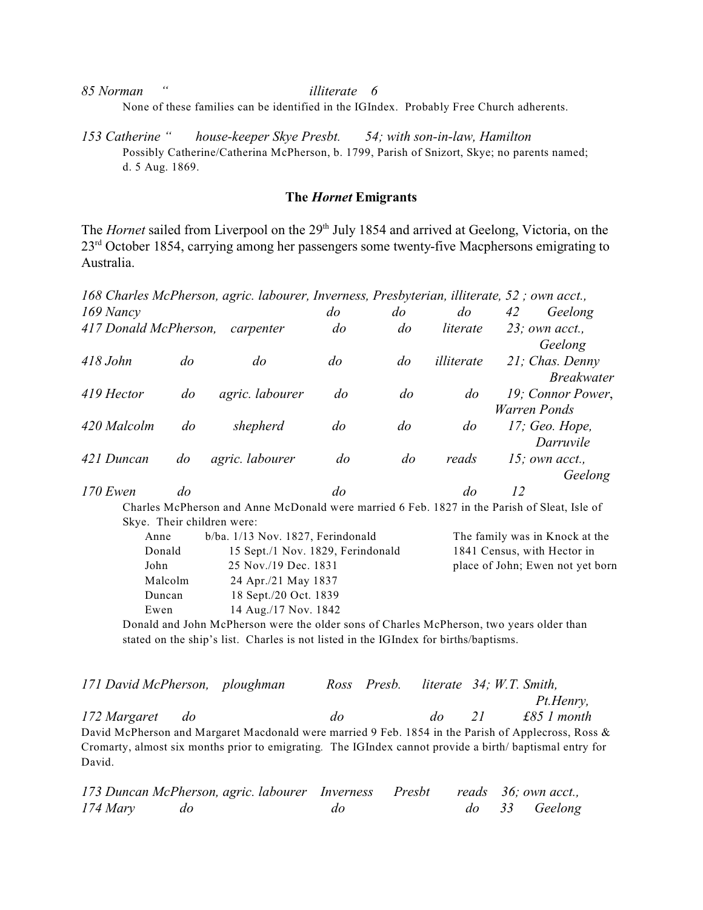*85 Norman " illiterate 6*

None of these families can be identified in the IGIndex. Probably Free Church adherents.

*153 Catherine " house-keeper Skye Presbt. 54; with son-in-law, Hamilton* Possibly Catherine/Catherina McPherson, b. 1799, Parish of Snizort, Skye; no parents named; d. 5 Aug. 1869.

## **The** *Hornet* **Emigrants**

The *Hornet* sailed from Liverpool on the 29<sup>th</sup> July 1854 and arrived at Geelong, Victoria, on the 23<sup>rd</sup> October 1854, carrying among her passengers some twenty-five Macphersons emigrating to Australia.

|                       |                | 168 Charles McPherson, agric. labourer, Inverness, Presbyterian, illiterate, 52; own acct., |           |                |                |              |                   |
|-----------------------|----------------|---------------------------------------------------------------------------------------------|-----------|----------------|----------------|--------------|-------------------|
| 169 Nancy             |                |                                                                                             | do        | do             | do             | 42           | Geelong           |
| 417 Donald McPherson, |                | carpenter                                                                                   | $d\sigma$ | $d\sigma$      | literate       |              | $23$ ; own acct., |
|                       |                |                                                                                             |           |                |                |              | Geelong           |
| $418$ John            | $\overline{d}$ | do                                                                                          | $d\sigma$ | do             | illiterate     |              | 21; Chas. Denny   |
|                       |                |                                                                                             |           |                |                |              | <b>Breakwater</b> |
| 419 Hector            | $d\sigma$      | agric. labourer                                                                             | do        | $\overline{d}$ | $d\sigma$      |              | 19; Connor Power, |
|                       |                |                                                                                             |           |                |                | Warren Ponds |                   |
| 420 Malcolm           | $d\sigma$      | shepherd                                                                                    | $d\sigma$ | $d\sigma$      | $\overline{d}$ |              | $17$ ; Geo. Hope, |
|                       |                |                                                                                             |           |                |                |              | Darruvile         |
| 421 Duncan            | do             | agric. labourer                                                                             | $d\sigma$ | $d\sigma$      | reads          |              | 15; own acct.,    |
|                       |                |                                                                                             |           |                |                |              | Geelong           |
| $170$ Ewen            | do             |                                                                                             | do        |                | do             | 12           |                   |
|                       |                | Charles McPherson and Anne McDonald were married 6 Feb 1827 in the Parish of Sleat Jsle of  |           |                |                |              |                   |

Charles McPherson and Anne McDonald were married 6 Feb. 1827 in the Parish of Sleat, Isle of Skye. Their children were:

| Anne    | $b/ba. 1/13$ Nov. 1827, Ferindonald | The family was in Knock at the   |
|---------|-------------------------------------|----------------------------------|
| Donald  | 15 Sept./1 Nov. 1829, Ferindonald   | 1841 Census, with Hector in      |
| John    | 25 Nov./19 Dec. 1831                | place of John; Ewen not yet born |
| Malcolm | 24 Apr./21 May 1837                 |                                  |
| Duncan  | 18 Sept./20 Oct. 1839               |                                  |
| Ewen    | 14 Aug./17 Nov. 1842                |                                  |
|         |                                     |                                  |

Donald and John McPherson were the older sons of Charles McPherson, two years older than stated on the ship's list. Charles is not listed in the IGIndex for births/baptisms.

| 171 David McPherson, ploughman |  |           | Ross Presb. |           |      | literate 34; W.T. Smith,                                                                                |
|--------------------------------|--|-----------|-------------|-----------|------|---------------------------------------------------------------------------------------------------------|
|                                |  |           |             |           |      | Pt.Henry,                                                                                               |
| 172 Margaret do                |  | $d\sigma$ |             | $d\sigma$ | - 21 | $£85$ 1 month                                                                                           |
|                                |  |           |             |           |      | David McPherson and Margaret Macdonald were married 9 Feb. 1854 in the Parish of Applecross, Ross &     |
|                                |  |           |             |           |      | Cromarty, almost six months prior to emigrating. The IGIndex cannot provide a birth/baptismal entry for |
| David.                         |  |           |             |           |      |                                                                                                         |

| 173 Duncan McPherson, agric. labourer Inverness Presbt reads 36; own acct., |           |    |  |               |
|-----------------------------------------------------------------------------|-----------|----|--|---------------|
| 174 Mary                                                                    | $d\sigma$ | do |  | do 33 Geelong |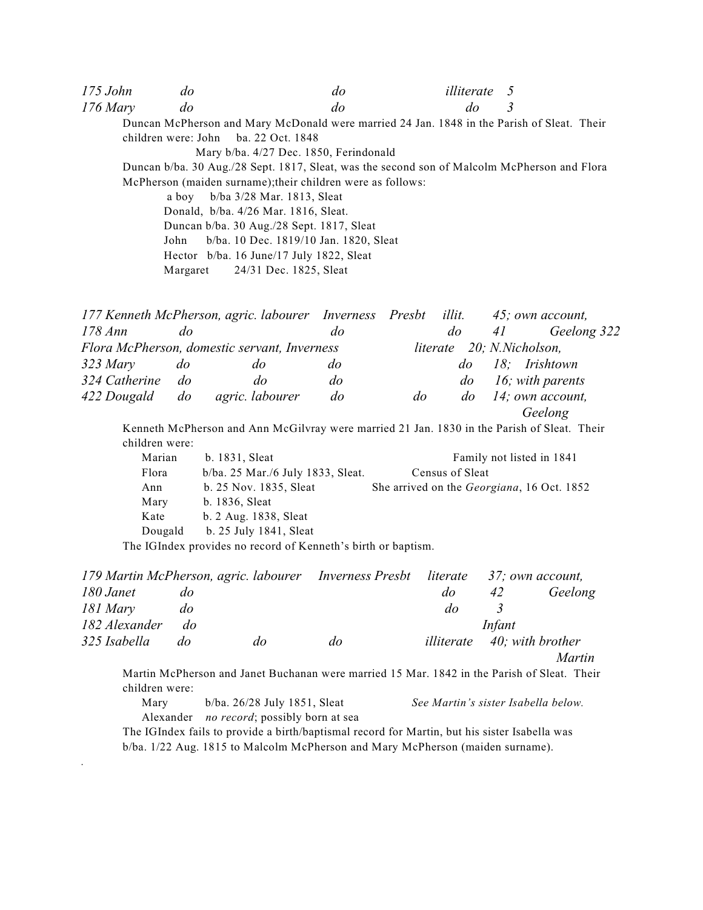| $175$ John | do    | do                                                                                           | <i>illiterate</i> 5 |   |
|------------|-------|----------------------------------------------------------------------------------------------|---------------------|---|
| $176$ Mary | do    | do                                                                                           | do                  | 3 |
|            |       | Duncan McPherson and Mary McDonald were married 24 Jan. 1848 in the Parish of Sleat. Their   |                     |   |
|            |       | children were: John ba. 22 Oct. $1848$                                                       |                     |   |
|            |       | Mary b/ba. 4/27 Dec. 1850, Ferindonald                                                       |                     |   |
|            |       | Duncan b/ba. 30 Aug./28 Sept. 1817, Sleat, was the second son of Malcolm McPherson and Flora |                     |   |
|            |       | McPherson (maiden surname); their children were as follows:                                  |                     |   |
|            | a bov | b/ba 3/28 Mar. 1813, Sleat                                                                   |                     |   |
|            |       | Donald, b/ba. 4/26 Mar. 1816, Sleat.                                                         |                     |   |
|            |       | Duncan b/ba. 30 Aug./28 Sept. 1817, Sleat                                                    |                     |   |
|            | John  | b/ba. 10 Dec. 1819/10 Jan. 1820, Sleat                                                       |                     |   |
|            |       | Hector b/ba. 16 June/17 July 1822, Sleat                                                     |                     |   |
|            |       | Margaret 24/31 Dec. 1825, Sleat                                                              |                     |   |
|            |       |                                                                                              |                     |   |

|                |           | 177 Kenneth McPherson, agric. labourer Inverness Presbt |           |    | illit.    | 45; own account,                                                                            |  |
|----------------|-----------|---------------------------------------------------------|-----------|----|-----------|---------------------------------------------------------------------------------------------|--|
| $178 \, Ann$   | $d\sigma$ |                                                         | do        |    | $d\sigma$ | Geelong 322<br>41                                                                           |  |
|                |           | Flora McPherson, domestic servant, Inverness            |           |    |           | literate 20; N.Nicholson,                                                                   |  |
| $323$ Mary     | do        | do                                                      | do        |    | $d\sigma$ | 18; Irishtown                                                                               |  |
| 324 Catherine  | $d\sigma$ | do                                                      | do        |    |           | $do$ 16; with parents                                                                       |  |
| 422 Dougald do |           | agric. labourer                                         | $d\sigma$ | do |           | $do$ 14; own account,                                                                       |  |
|                |           |                                                         |           |    |           | Geelong                                                                                     |  |
|                |           |                                                         |           |    |           | Kenneth McPherson and Ann McGilvray were married 21 Jan. 1830 in the Parish of Sleat. Their |  |

children were:

| Marian  | b. 1831, Sleat                       | Family not listed in 1841                          |
|---------|--------------------------------------|----------------------------------------------------|
| Flora   | $b/ba$ . 25 Mar./6 July 1833, Sleat. | Census of Sleat                                    |
| Ann     | b. 25 Nov. 1835, Sleat               | She arrived on the <i>Georgiana</i> , 16 Oct. 1852 |
| Mary    | b. 1836, Sleat                       |                                                    |
| Kate    | b. 2 Aug. 1838, Sleat                |                                                    |
| Dougald | b. 25 July 1841, Sleat               |                                                    |

The IGIndex provides no record of Kenneth's birth or baptism.

*.*

|               |           |    | 179 Martin McPherson, agric. labourer Inverness Presbt literate 37; own account, |    |        |                                    |
|---------------|-----------|----|----------------------------------------------------------------------------------|----|--------|------------------------------------|
| 180 Janet     | do        |    |                                                                                  | do | 42     | Geelong                            |
| 181 Mary      | do        |    |                                                                                  | do |        |                                    |
| 182 Alexander | do        |    |                                                                                  |    | Infant |                                    |
| 325 Isabella  | $d\sigma$ | do | do                                                                               |    |        | <i>illiterate</i> 40; with brother |
|               |           |    |                                                                                  |    |        | <i>Martin</i>                      |

Martin McPherson and Janet Buchanan were married 15 Mar. 1842 in the Parish of Sleat. Their children were:

 Mary b/ba. 26/28 July 1851, Sleat *See Martin's sister Isabella below.* Alexander *no record*; possibly born at sea

The IGIndex fails to provide a birth/baptismal record for Martin, but his sister Isabella was b/ba. 1/22 Aug. 1815 to Malcolm McPherson and Mary McPherson (maiden surname).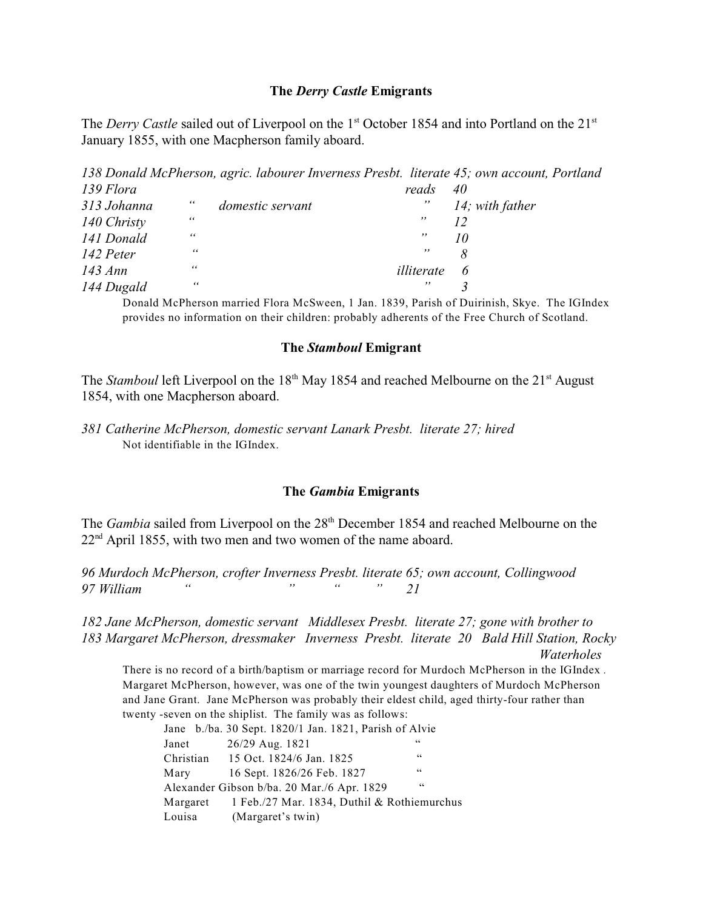## **The** *Derry Castle* **Emigrants**

The *Derry Castle* sailed out of Liverpool on the 1<sup>st</sup> October 1854 and into Portland on the 21<sup>st</sup> January 1855, with one Macpherson family aboard.

*138 Donald McPherson, agric. labourer Inverness Presbt. literate 45; own account, Portland 139 Flora reads 40*

| 313 Johanna | 66         | domestic servant | $, \,$     | 14; with father |
|-------------|------------|------------------|------------|-----------------|
| 140 Christy | 66         |                  | ,,         |                 |
| 141 Donald  | 66         |                  | ,,         |                 |
| 142 Peter   | $\epsilon$ |                  | $, \,$     |                 |
| 143 Ann     | $\epsilon$ |                  | illiterate | 6               |
| 144 Dugald  | 66         |                  | ,,         |                 |

Donald McPherson married Flora McSween, 1 Jan. 1839, Parish of Duirinish, Skye. The IGIndex provides no information on their children: probably adherents of the Free Church of Scotland.

## **The** *Stamboul* **Emigrant**

The *Stamboul* left Liverpool on the 18<sup>th</sup> May 1854 and reached Melbourne on the 21<sup>st</sup> August 1854, with one Macpherson aboard.

# **The** *Gambia* **Emigrants**

The *Gambia* sailed from Liverpool on the 28<sup>th</sup> December 1854 and reached Melbourne on the  $22<sup>nd</sup>$  April 1855, with two men and two women of the name aboard.

*96 Murdoch McPherson, crofter Inverness Presbt. literate 65; own account, Collingwood 97 William " " " " 21*

*182 Jane McPherson, domestic servant Middlesex Presbt. literate 27; gone with brother to 183 Margaret McPherson, dressmaker Inverness Presbt. literate 20 Bald Hill Station, Rocky Waterholes*

There is no record of a birth/baptism or marriage record for Murdoch McPherson in the IGIndex *.*  Margaret McPherson, however, was one of the twin youngest daughters of Murdoch McPherson and Jane Grant. Jane McPherson was probably their eldest child, aged thirty-four rather than twenty -seven on the shiplist. The family was as follows:

|        | Jane b./ba. 30 Sept. 1820/1 Jan. 1821, Parish of Alvie |    |
|--------|--------------------------------------------------------|----|
| Janet  | 26/29 Aug. 1821                                        | 66 |
|        | Christian 15 Oct. 1824/6 Jan. 1825                     | 66 |
| Mary   | 16 Sept. 1826/26 Feb. 1827                             | 66 |
|        | Alexander Gibson b/ba. 20 Mar./6 Apr. 1829             | 66 |
|        | Margaret 1 Feb./27 Mar. 1834, Duthil & Rothiemurchus   |    |
| Louisa | (Margaret's twin)                                      |    |

*<sup>381</sup> Catherine McPherson, domestic servant Lanark Presbt. literate 27; hired* Not identifiable in the IGIndex.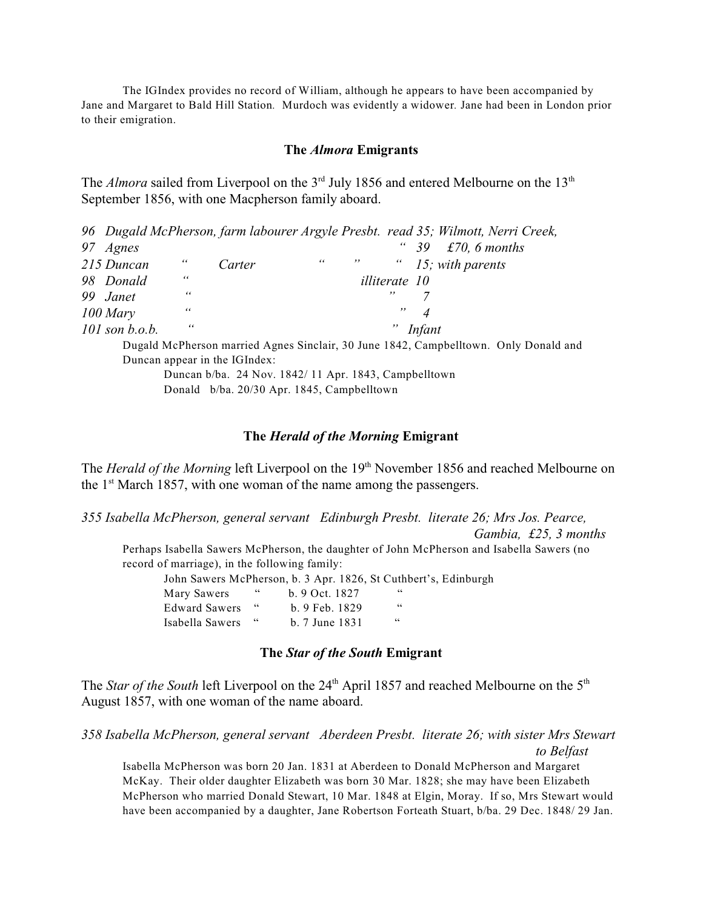The IGIndex provides no record of William, although he appears to have been accompanied by Jane and Margaret to Bald Hill Station*.* Murdoch was evidently a widower*.* Jane had been in London prior to their emigration.

### **The** *Almora* **Emigrants**

The *Almora* sailed from Liverpool on the 3<sup>rd</sup> July 1856 and entered Melbourne on the 13<sup>th</sup> September 1856, with one Macpherson family aboard.

|                  |            |        |    |                      | 96 Dugald McPherson, farm labourer Argyle Presbt. read 35; Wilmott, Nerri Creek,     |
|------------------|------------|--------|----|----------------------|--------------------------------------------------------------------------------------|
| 97 Agnes         |            |        |    |                      | £70, 6 months<br>-39                                                                 |
| 215 Duncan       | 66         | Carter | 66 |                      | $\degree$ 15; with parents                                                           |
| 98 Donald        | 66         |        |    | <i>illiterate</i> 10 |                                                                                      |
| 99 Janet         | $\epsilon$ |        |    | ,,                   |                                                                                      |
| $100$ Mary       | 66         |        |    | ,,                   |                                                                                      |
| $101$ son b.o.b. | 66         |        |    |                      | $"$ Infant                                                                           |
|                  |            |        |    |                      | Dugald McPherson married Agnes Sinclair, 30 June 1842, Campbelltown. Only Donald and |

Duncan appear in the IGIndex:

Duncan b/ba. 24 Nov. 1842/ 11 Apr. 1843, Campbelltown Donald b/ba. 20/30 Apr. 1845, Campbelltown

### **The** *Herald of the Morning* **Emigrant**

The *Herald of the Morning* left Liverpool on the 19<sup>th</sup> November 1856 and reached Melbourne on the  $1<sup>st</sup>$  March 1857, with one woman of the name among the passengers.

*355 Isabella McPherson, general servant Edinburgh Presbt. literate 26; Mrs Jos. Pearce, Gambia, £25, 3 months*

Perhaps Isabella Sawers McPherson, the daughter of John McPherson and Isabella Sawers (no record of marriage), in the following family:

John Sawers McPherson, b. 3 Apr. 1826, St Cuthbert's, Edinburgh Mary Sawers " b. 9 Oct. 1827

| <b>Edward Sawers</b> | $b.9$ Feb. 1829 | 66 |  |
|----------------------|-----------------|----|--|
| Isabella Sawers      | b. 7 June 1831  | 66 |  |

## **The** *Star of the South* **Emigrant**

The *Star of the South* left Liverpool on the 24<sup>th</sup> April 1857 and reached Melbourne on the 5<sup>th</sup> August 1857, with one woman of the name aboard.

*358 Isabella McPherson, general servant Aberdeen Presbt. literate 26; with sister Mrs Stewart to Belfast*

Isabella McPherson was born 20 Jan. 1831 at Aberdeen to Donald McPherson and Margaret McKay. Their older daughter Elizabeth was born 30 Mar. 1828; she may have been Elizabeth McPherson who married Donald Stewart, 10 Mar. 1848 at Elgin, Moray. If so, Mrs Stewart would have been accompanied by a daughter, Jane Robertson Forteath Stuart, b/ba. 29 Dec. 1848/ 29 Jan.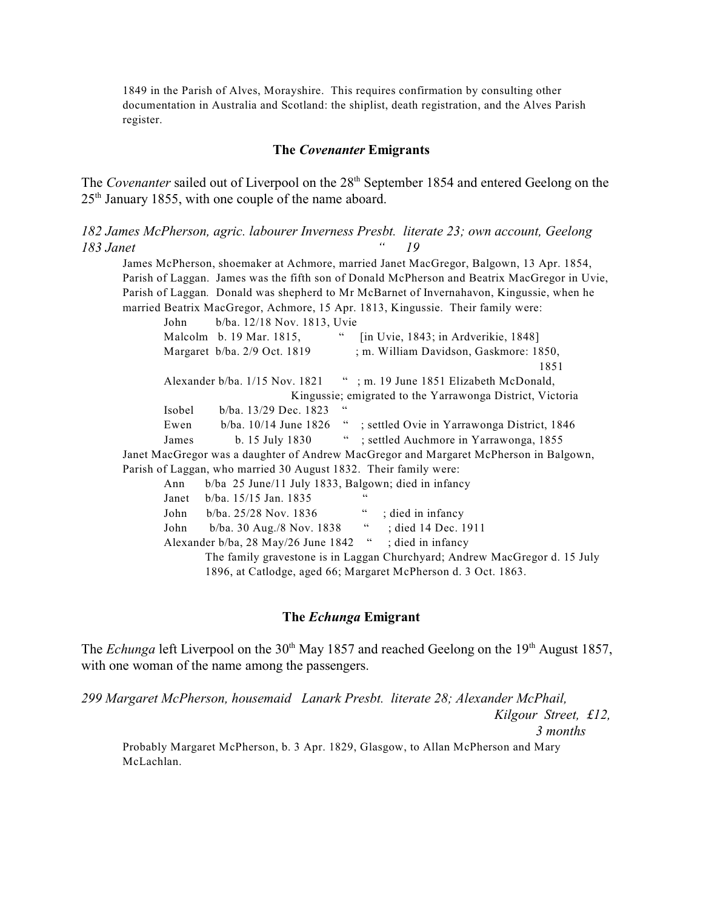1849 in the Parish of Alves, Morayshire. This requires confirmation by consulting other documentation in Australia and Scotland: the shiplist, death registration, and the Alves Parish register.

### **The** *Covenanter* **Emigrants**

The *Covenanter* sailed out of Liverpool on the 28<sup>th</sup> September 1854 and entered Geelong on the  $25<sup>th</sup>$  January 1855, with one couple of the name aboard.

*182 James McPherson, agric. labourer Inverness Presbt. literate 23; own account, Geelong 183 Janet " 19*

James McPherson, shoemaker at Achmore, married Janet MacGregor, Balgown, 13 Apr. 1854, Parish of Laggan. James was the fifth son of Donald McPherson and Beatrix MacGregor in Uvie, Parish of Laggan*.* Donald was shepherd to Mr McBarnet of Invernahavon, Kingussie, when he married Beatrix MacGregor, Achmore, 15 Apr. 1813, Kingussie. Their family were:

John b/ba. 12/18 Nov. 1813, Uvie Malcolm b. 19 Mar. 1815, " [in Uvie, 1843; in Ardverikie, 1848] Margaret b/ba. 2/9 Oct. 1819 ; m. William Davidson, Gaskmore: 1850, 1851 Alexander b/ba. 1/15 Nov. 1821 "; m. 19 June 1851 Elizabeth McDonald, Kingussie; emigrated to the Yarrawonga District, Victoria Isobel b/ba. 13/29 Dec. 1823 " Ewen b/ba. 10/14 June 1826 " ; settled Ovie in Yarrawonga District, 1846 James b. 15 July 1830 " ; settled Auchmore in Yarrawonga, 1855 Janet MacGregor was a daughter of Andrew MacGregor and Margaret McPherson in Balgown, Parish of Laggan, who married 30 August 1832. Their family were: Ann b/ba 25 June/11 July 1833, Balgown; died in infancy Janet b/ba. 15/15 Jan. 1835 " John b/ba. 25/28 Nov. 1836 " ; died in infancy John b/ba. 30 Aug./8 Nov. 1838 " ; died 14 Dec. 1911 Alexander b/ba, 28 May/26 June 1842 " ; died in infancy The family gravestone is in Laggan Churchyard; Andrew MacGregor d. 15 July 1896, at Catlodge, aged 66; Margaret McPherson d. 3 Oct. 1863.

### **The** *Echunga* **Emigrant**

The *Echunga* left Liverpool on the 30<sup>th</sup> May 1857 and reached Geelong on the 19<sup>th</sup> August 1857, with one woman of the name among the passengers.

*299 Margaret McPherson, housemaid Lanark Presbt. literate 28; Alexander McPhail,* 

 *Kilgour Street, £12,*

 *3 months*

Probably Margaret McPherson, b. 3 Apr. 1829, Glasgow, to Allan McPherson and Mary McLachlan.